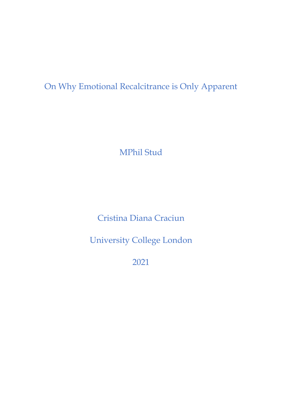On Why Emotional Recalcitrance is Only Apparent

MPhil Stud

Cristina Diana Craciun

University College London

2021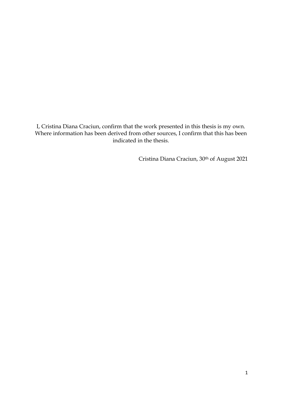I, Cristina Diana Craciun, confirm that the work presented in this thesis is my own. Where information has been derived from other sources, I confirm that this has been indicated in the thesis.

Cristina Diana Craciun, 30th of August 2021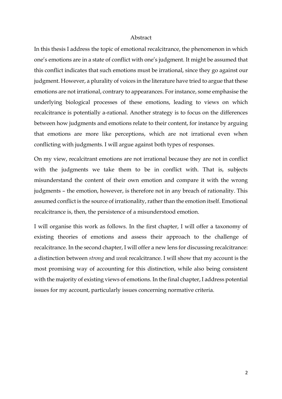#### Abstract

In this thesis I address the topic of emotional recalcitrance, the phenomenon in which one's emotions are in a state of conflict with one's judgment. It might be assumed that this conflict indicates that such emotions must be irrational, since they go against our judgment. However, a plurality of voices in the literature have tried to argue that these emotions are not irrational, contrary to appearances. For instance, some emphasise the underlying biological processes of these emotions, leading to views on which recalcitrance is potentially a-rational. Another strategy is to focus on the differences between how judgments and emotions relate to their content, for instance by arguing that emotions are more like perceptions, which are not irrational even when conflicting with judgments. I will argue against both types of responses.

On my view, recalcitrant emotions are not irrational because they are not in conflict with the judgments we take them to be in conflict with. That is, subjects misunderstand the content of their own emotion and compare it with the wrong judgments – the emotion, however, is therefore not in any breach of rationality. This assumed conflict is the source of irrationality, rather than the emotion itself. Emotional recalcitrance is, then, the persistence of a misunderstood emotion.

I will organise this work as follows. In the first chapter, I will offer a taxonomy of existing theories of emotions and assess their approach to the challenge of recalcitrance. In the second chapter, I will offer a new lens for discussing recalcitrance: a distinction between *strong* and *weak* recalcitrance. I will show that my account is the most promising way of accounting for this distinction, while also being consistent with the majority of existing views of emotions. In the final chapter, I address potential issues for my account, particularly issues concerning normative criteria.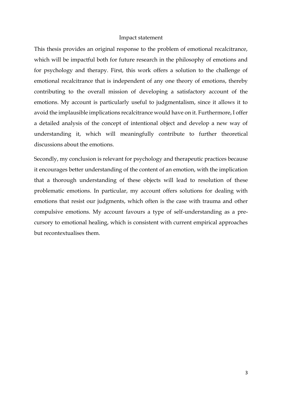### Impact statement

This thesis provides an original response to the problem of emotional recalcitrance, which will be impactful both for future research in the philosophy of emotions and for psychology and therapy. First, this work offers a solution to the challenge of emotional recalcitrance that is independent of any one theory of emotions, thereby contributing to the overall mission of developing a satisfactory account of the emotions. My account is particularly useful to judgmentalism, since it allows it to avoid the implausible implications recalcitrance would have on it. Furthermore, I offer a detailed analysis of the concept of intentional object and develop a new way of understanding it, which will meaningfully contribute to further theoretical discussions about the emotions.

Secondly, my conclusion is relevant for psychology and therapeutic practices because it encourages better understanding of the content of an emotion, with the implication that a thorough understanding of these objects will lead to resolution of these problematic emotions. In particular, my account offers solutions for dealing with emotions that resist our judgments, which often is the case with trauma and other compulsive emotions. My account favours a type of self-understanding as a precursory to emotional healing, which is consistent with current empirical approaches but recontextualises them.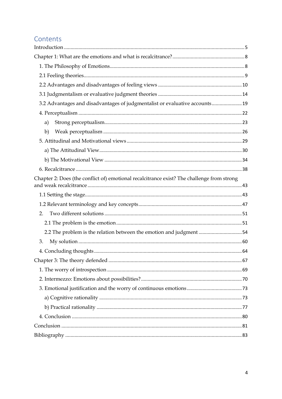# Contents

| 3.2 Advantages and disadvantages of judgmentalist or evaluative accounts 19                |  |
|--------------------------------------------------------------------------------------------|--|
|                                                                                            |  |
| a)                                                                                         |  |
| b)                                                                                         |  |
|                                                                                            |  |
|                                                                                            |  |
|                                                                                            |  |
|                                                                                            |  |
| Chapter 2: Does (the conflict of) emotional recalcitrance exist? The challenge from strong |  |
|                                                                                            |  |
|                                                                                            |  |
| 2.                                                                                         |  |
|                                                                                            |  |
| 2.2 The problem is the relation between the emotion and judgment54                         |  |
| 3.                                                                                         |  |
|                                                                                            |  |
|                                                                                            |  |
|                                                                                            |  |
|                                                                                            |  |
|                                                                                            |  |
|                                                                                            |  |
|                                                                                            |  |
|                                                                                            |  |
|                                                                                            |  |
|                                                                                            |  |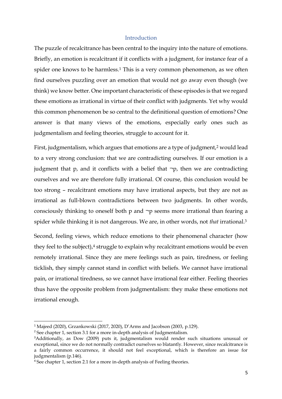# Introduction

<span id="page-5-0"></span>The puzzle of recalcitrance has been central to the inquiry into the nature of emotions. Briefly, an emotion is recalcitrant if it conflicts with a judgment, for instance fear of a spider one knows to be harmless.<sup>1</sup> This is a very common phenomenon, as we often find ourselves puzzling over an emotion that would not go away even though (we think) we know better. One important characteristic of these episodes is that we regard these emotions as irrational in virtue of their conflict with judgments. Yet why would this common phenomenon be so central to the definitional question of emotions? One answer is that many views of the emotions, especially early ones such as judgmentalism and feeling theories, struggle to account for it.

First, judgmentalism, which argues that emotions are a type of judgment,<sup>2</sup> would lead to a very strong conclusion: that we are contradicting ourselves. If our emotion is a judgment that  $p$ , and it conflicts with a belief that  $\neg p$ , then we are contradicting ourselves and we are therefore fully irrational. Of course, this conclusion would be too strong – recalcitrant emotions may have irrational aspects, but they are not as irrational as full-blown contradictions between two judgments. In other words, consciously thinking to oneself both p and ¬p seems more irrational than fearing a spider while thinking it is not dangerous. We are, in other words, not *that* irrational.<sup>3</sup>

Second, feeling views, which reduce emotions to their phenomenal character (how they feel to the subject), $4$  struggle to explain why recalcitrant emotions would be even remotely irrational. Since they are mere feelings such as pain, tiredness, or feeling ticklish, they simply cannot stand in conflict with beliefs. We cannot have irrational pain, or irrational tiredness, so we cannot have irrational fear either. Feeling theories thus have the opposite problem from judgmentalism: they make these emotions not irrational enough.

<sup>1</sup> Majeed (2020), Grzankowski (2017, 2020), D'Arms and Jacobson (2003, p.129).

<sup>&</sup>lt;sup>2</sup> See chapter 1, section 3.1 for a more in-depth analysis of Judgmentalism.

<sup>&</sup>lt;sup>3</sup>Additionally, as Dow (2009) puts it, judgmentalism would render such situations unusual or exceptional, since we do not normally contradict ourselves so blatantly. However, since recalcitrance is a fairly common occurrence, it should not feel exceptional, which is therefore an issue for judgmentalism (p.146).

<sup>&</sup>lt;sup>4</sup> See chapter 1, section 2.1 for a more in-depth analysis of Feeling theories.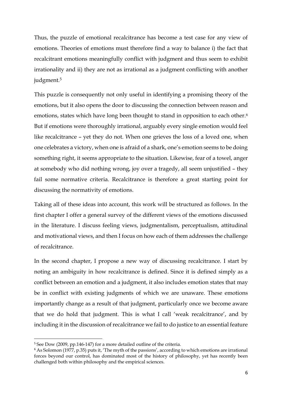Thus, the puzzle of emotional recalcitrance has become a test case for any view of emotions. Theories of emotions must therefore find a way to balance i) the fact that recalcitrant emotions meaningfully conflict with judgment and thus seem to exhibit irrationality and ii) they are not as irrational as a judgment conflicting with another judgment.<sup>5</sup>

This puzzle is consequently not only useful in identifying a promising theory of the emotions, but it also opens the door to discussing the connection between reason and emotions, states which have long been thought to stand in opposition to each other.<sup>6</sup> But if emotions were thoroughly irrational, arguably every single emotion would feel like recalcitrance – yet they do not. When one grieves the loss of a loved one, when one celebrates a victory, when one is afraid of a shark, one's emotion seems to be doing something right, it seems appropriate to the situation. Likewise, fear of a towel, anger at somebody who did nothing wrong, joy over a tragedy, all seem unjustified – they fail some normative criteria. Recalcitrance is therefore a great starting point for discussing the normativity of emotions.

Taking all of these ideas into account, this work will be structured as follows. In the first chapter I offer a general survey of the different views of the emotions discussed in the literature. I discuss feeling views, judgmentalism, perceptualism, attitudinal and motivational views, and then I focus on how each of them addresses the challenge of recalcitrance.

In the second chapter, I propose a new way of discussing recalcitrance. I start by noting an ambiguity in how recalcitrance is defined. Since it is defined simply as a conflict between an emotion and a judgment, it also includes emotion states that may be in conflict with existing judgments of which we are unaware. These emotions importantly change as a result of that judgment, particularly once we become aware that we do hold that judgment. This is what I call 'weak recalcitrance', and by including it in the discussion of recalcitrance we fail to do justice to an essential feature

<sup>&</sup>lt;sup>5</sup> See Dow (2009, pp.146-147) for a more detailed outline of the criteria.

 $6$  As Solomon (1977, p.35) puts it, 'The myth of the passions', according to which emotions are irrational forces beyond our control, has dominated most of the history of philosophy, yet has recently been challenged both within philosophy and the empirical sciences.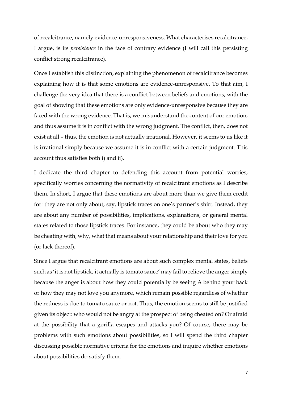of recalcitrance, namely evidence-unresponsiveness. What characterises recalcitrance, I argue, is its *persistence* in the face of contrary evidence (I will call this persisting conflict strong recalcitrance).

Once I establish this distinction, explaining the phenomenon of recalcitrance becomes explaining how it is that some emotions are evidence-unresponsive. To that aim, I challenge the very idea that there is a conflict between beliefs and emotions, with the goal of showing that these emotions are only evidence-unresponsive because they are faced with the wrong evidence. That is, we misunderstand the content of our emotion, and thus assume it is in conflict with the wrong judgment. The conflict, then, does not exist at all – thus, the emotion is not actually irrational. However, it seems to us like it is irrational simply because we assume it is in conflict with a certain judgment. This account thus satisfies both i) and ii).

I dedicate the third chapter to defending this account from potential worries, specifically worries concerning the normativity of recalcitrant emotions as I describe them. In short, I argue that these emotions are about more than we give them credit for: they are not only about, say, lipstick traces on one's partner's shirt. Instead, they are about any number of possibilities, implications, explanations, or general mental states related to those lipstick traces. For instance, they could be about who they may be cheating with, why, what that means about your relationship and their love for you (or lack thereof).

Since I argue that recalcitrant emotions are about such complex mental states, beliefs such as 'it is not lipstick, it actually is tomato sauce' may fail to relieve the anger simply because the anger is about how they could potentially be seeing A behind your back or how they may not love you anymore, which remain possible regardless of whether the redness is due to tomato sauce or not. Thus, the emotion seems to still be justified given its object: who would not be angry at the prospect of being cheated on? Or afraid at the possibility that a gorilla escapes and attacks you? Of course, there may be problems with such emotions about possibilities, so I will spend the third chapter discussing possible normative criteria for the emotions and inquire whether emotions about possibilities do satisfy them.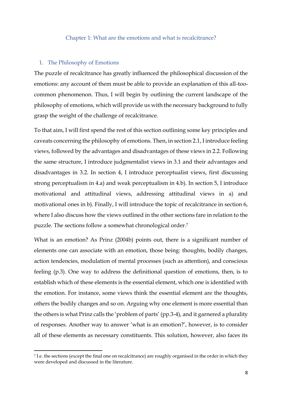## Chapter 1: What are the emotions and what is recalcitrance?

## <span id="page-8-1"></span><span id="page-8-0"></span>1. The Philosophy of Emotions

The puzzle of recalcitrance has greatly influenced the philosophical discussion of the emotions: any account of them must be able to provide an explanation of this all-toocommon phenomenon. Thus, I will begin by outlining the current landscape of the philosophy of emotions, which will provide us with the necessary background to fully grasp the weight of the challenge of recalcitrance.

To that aim, I will first spend the rest of this section outlining some key principles and caveats concerning the philosophy of emotions. Then, in section 2.1, I introduce feeling views, followed by the advantages and disadvantages of these views in 2.2. Following the same structure, I introduce judgmentalist views in 3.1 and their advantages and disadvantages in 3.2. In section 4, I introduce perceptualist views, first discussing strong perceptualism in 4.a) and weak perceptualism in 4.b). In section 5, I introduce motivational and attitudinal views, addressing attitudinal views in a) and motivational ones in b). Finally, I will introduce the topic of recalcitrance in section 6, where I also discuss how the views outlined in the other sections fare in relation to the puzzle. The sections follow a somewhat chronological order. 7

What is an emotion? As Prinz (2004b) points out, there is a significant number of elements one can associate with an emotion, those being: thoughts, bodily changes, action tendencies, modulation of mental processes (such as attention), and conscious feeling (p.3). One way to address the definitional question of emotions, then, is to establish which of these elements is the essential element, which one is identified with the emotion. For instance, some views think the essential element are the thoughts, others the bodily changes and so on. Arguing why one element is more essential than the others is what Prinz calls the 'problem of parts' (pp.3-4), and it garnered a plurality of responses. Another way to answer 'what is an emotion?', however, is to consider all of these elements as necessary constituents. This solution, however, also faces its

<sup>7</sup> I.e. the sections (except the final one on recalcitrance) are roughly organised in the order in which they were developed and discussed in the literature.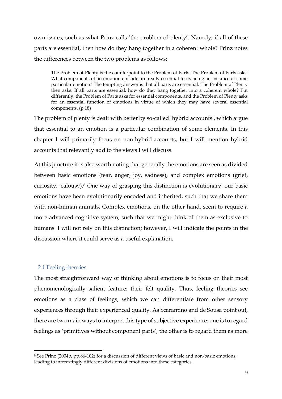own issues, such as what Prinz calls 'the problem of plenty'. Namely, if all of these parts are essential, then how do they hang together in a coherent whole? Prinz notes the differences between the two problems as follows:

The Problem of Plenty is the counterpoint to the Problem of Parts. The Problem of Parts asks: What components of an emotion episode are really essential to its being an instance of some particular emotion? The tempting answer is that all parts are essential. The Problem of Plenty then asks: If all parts are essential, how do they hang together into a coherent whole? Put differently, the Problem of Parts asks for essential components, and the Problem of Plenty asks for an essential function of emotions in virtue of which they may have several essential components. (p.18)

The problem of plenty is dealt with better by so-called 'hybrid accounts', which argue that essential to an emotion is a particular combination of some elements. In this chapter I will primarily focus on non-hybrid-accounts, but I will mention hybrid accounts that relevantly add to the views I will discuss.

At this juncture it is also worth noting that generally the emotions are seen as divided between basic emotions (fear, anger, joy, sadness), and complex emotions (grief, curiosity, jealousy).<sup>8</sup> One way of grasping this distinction is evolutionary: our basic emotions have been evolutionarily encoded and inherited, such that we share them with non-human animals. Complex emotions, on the other hand, seem to require a more advanced cognitive system, such that we might think of them as exclusive to humans. I will not rely on this distinction; however, I will indicate the points in the discussion where it could serve as a useful explanation.

# <span id="page-9-0"></span>2.1 Feeling theories

The most straightforward way of thinking about emotions is to focus on their most phenomenologically salient feature: their felt quality. Thus, feeling theories see emotions as a class of feelings, which we can differentiate from other sensory experiences through their experienced quality. As Scarantino and de Sousa point out, there are two main ways to interpret this type of subjective experience: one is to regard feelings as 'primitives without component parts', the other is to regard them as more

<sup>8</sup> See Prinz (2004b, pp.86-102) for a discussion of different views of basic and non-basic emotions, leading to interestingly different divisions of emotions into these categories.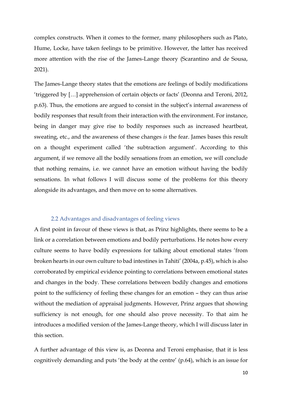complex constructs. When it comes to the former, many philosophers such as Plato, Hume, Locke, have taken feelings to be primitive. However, the latter has received more attention with the rise of the James-Lange theory (Scarantino and de Sousa, 2021).

The James-Lange theory states that the emotions are feelings of bodily modifications 'triggered by […] apprehension of certain objects or facts' (Deonna and Teroni, 2012, p.63). Thus, the emotions are argued to consist in the subject's internal awareness of bodily responses that result from their interaction with the environment. For instance, being in danger may give rise to bodily responses such as increased heartbeat, sweating, etc., and the awareness of these changes *is* the fear. James bases this result on a thought experiment called 'the subtraction argument'. According to this argument, if we remove all the bodily sensations from an emotion, we will conclude that nothing remains, i.e. we cannot have an emotion without having the bodily sensations. In what follows I will discuss some of the problems for this theory alongside its advantages, and then move on to some alternatives.

# 2.2 Advantages and disadvantages of feeling views

<span id="page-10-0"></span>A first point in favour of these views is that, as Prinz highlights, there seems to be a link or a correlation between emotions and bodily perturbations. He notes how every culture seems to have bodily expressions for talking about emotional states 'from broken hearts in our own culture to bad intestines in Tahiti' (2004a, p.45), which is also corroborated by empirical evidence pointing to correlations between emotional states and changes in the body. These correlations between bodily changes and emotions point to the sufficiency of feeling these changes for an emotion – they can thus arise without the mediation of appraisal judgments. However, Prinz argues that showing sufficiency is not enough, for one should also prove necessity. To that aim he introduces a modified version of the James-Lange theory, which I will discuss later in this section.

A further advantage of this view is, as Deonna and Teroni emphasise, that it is less cognitively demanding and puts 'the body at the centre' (p.64), which is an issue for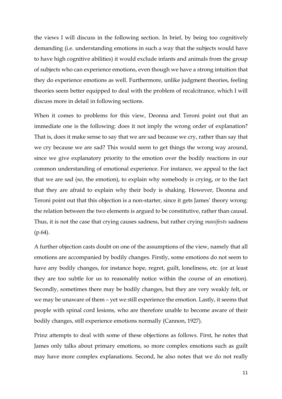the views I will discuss in the following section. In brief, by being too cognitively demanding (i.e. understanding emotions in such a way that the subjects would have to have high cognitive abilities) it would exclude infants and animals from the group of subjects who can experience emotions, even though we have a strong intuition that they do experience emotions as well. Furthermore, unlike judgment theories, feeling theories seem better equipped to deal with the problem of recalcitrance, which I will discuss more in detail in following sections.

When it comes to problems for this view, Deonna and Teroni point out that an immediate one is the following: does it not imply the wrong order of explanation? That is, does it make sense to say that we are sad because we cry, rather than say that we cry because we are sad? This would seem to get things the wrong way around, since we give explanatory priority to the emotion over the bodily reactions in our common understanding of emotional experience. For instance, we appeal to the fact that we are sad (so, the emotion), to explain why somebody is crying, or to the fact that they are afraid to explain why their body is shaking. However, Deonna and Teroni point out that this objection is a non-starter, since it gets James' theory wrong: the relation between the two elements is argued to be constitutive, rather than causal. Thus, it is not the case that crying causes sadness, but rather crying *manifests* sadness  $(p.64)$ .

A further objection casts doubt on one of the assumptions of the view, namely that all emotions are accompanied by bodily changes. Firstly, some emotions do not seem to have any bodily changes, for instance hope, regret, guilt, loneliness, etc. (or at least they are too subtle for us to reasonably notice within the course of an emotion). Secondly, sometimes there may be bodily changes, but they are very weakly felt, or we may be unaware of them – yet we still experience the emotion. Lastly, it seems that people with spinal cord lesions, who are therefore unable to become aware of their bodily changes, still experience emotions normally (Cannon, 1927).

Prinz attempts to deal with some of these objections as follows. First, he notes that James only talks about primary emotions, so more complex emotions such as guilt may have more complex explanations. Second, he also notes that we do not really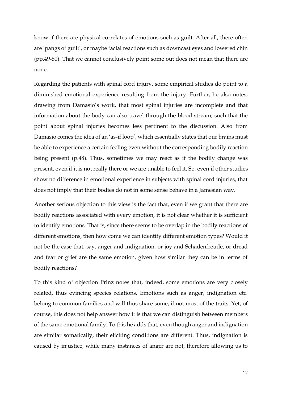know if there are physical correlates of emotions such as guilt. After all, there often are 'pangs of guilt', or maybe facial reactions such as downcast eyes and lowered chin (pp.49-50). That we cannot conclusively point some out does not mean that there are none.

Regarding the patients with spinal cord injury, some empirical studies do point to a diminished emotional experience resulting from the injury. Further, he also notes, drawing from Damasio's work, that most spinal injuries are incomplete and that information about the body can also travel through the blood stream, such that the point about spinal injuries becomes less pertinent to the discussion. Also from Damasio comes the idea of an 'as-if loop', which essentially states that our brains must be able to experience a certain feeling even without the corresponding bodily reaction being present (p.48). Thus, sometimes we may react as if the bodily change was present, even if it is not really there or we are unable to feel it. So, even if other studies show no difference in emotional experience in subjects with spinal cord injuries, that does not imply that their bodies do not in some sense behave in a Jamesian way.

Another serious objection to this view is the fact that, even if we grant that there are bodily reactions associated with every emotion, it is not clear whether it is sufficient to identify emotions. That is, since there seems to be overlap in the bodily reactions of different emotions, then how come we can identify different emotion types? Would it not be the case that, say, anger and indignation, or joy and Schadenfreude, or dread and fear or grief are the same emotion, given how similar they can be in terms of bodily reactions?

To this kind of objection Prinz notes that, indeed, some emotions are very closely related, thus evincing species relations. Emotions such as anger, indignation etc. belong to common families and will thus share some, if not most of the traits. Yet, of course, this does not help answer how it is that we can distinguish between members of the same emotional family. To this he adds that, even though anger and indignation are similar somatically, their eliciting conditions are different. Thus, indignation is caused by injustice, while many instances of anger are not, therefore allowing us to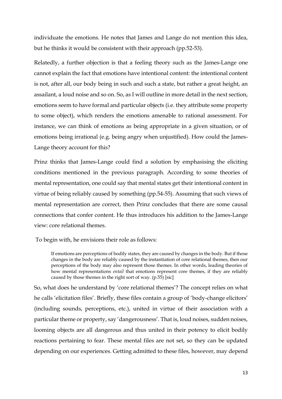individuate the emotions. He notes that James and Lange do not mention this idea, but he thinks it would be consistent with their approach (pp.52-53).

Relatedly, a further objection is that a feeling theory such as the James-Lange one cannot explain the fact that emotions have intentional content: the intentional content is not, after all, our body being in such and such a state, but rather a great height, an assailant, a loud noise and so on. So, as I will outline in more detail in the next section, emotions seem to have formal and particular objects (i.e. they attribute some property to some object), which renders the emotions amenable to rational assessment. For instance, we can think of emotions as being appropriate in a given situation, or of emotions being irrational (e.g. being angry when unjustified). How could the James-Lange theory account for this?

Prinz thinks that James-Lange could find a solution by emphasising the eliciting conditions mentioned in the previous paragraph. According to some theories of mental representation, one could say that mental states get their intentional content in virtue of being reliably caused by something (pp.54-55). Assuming that such views of mental representation are correct, then Prinz concludes that there are some causal connections that confer content. He thus introduces his addition to the James-Lange view: core relational themes.

To begin with, he envisions their role as follows:

If emotions are perceptions of bodily states, they are caused by changes in the body. But if those changes in the body are reliably caused by the instantiation of core relational themes, then our perceptions of the body may also represent those themes. In other words, leading theories of how mental representations *entail* that emotions represent core themes, if they are reliably caused by those themes in the right sort of way. (p.55) [sic]

So, what does he understand by 'core relational themes'? The concept relies on what he calls 'elicitation files'. Briefly, these files contain a group of 'body-change elicitors' (including sounds, perceptions, etc.), united in virtue of their association with a particular theme or property, say 'dangerousness'. That is, loud noises, sudden noises, looming objects are all dangerous and thus united in their potency to elicit bodily reactions pertaining to fear. These mental files are not set, so they can be updated depending on our experiences. Getting admitted to these files, however, may depend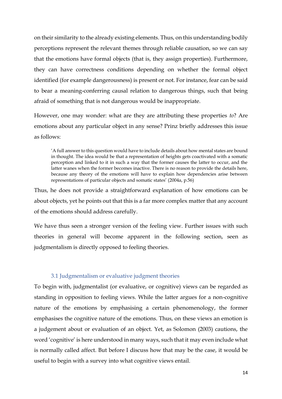on their similarity to the already existing elements. Thus, on this understanding bodily perceptions represent the relevant themes through reliable causation, so we can say that the emotions have formal objects (that is, they assign properties). Furthermore, they can have correctness conditions depending on whether the formal object identified (for example dangerousness) is present or not. For instance, fear can be said to bear a meaning-conferring causal relation to dangerous things, such that being afraid of something that is not dangerous would be inappropriate.

However, one may wonder: what are they are attributing these properties *to*? Are emotions about any particular object in any sense? Prinz briefly addresses this issue as follows:

'A full answer to this question would have to include details about how mental states are bound in thought. The idea would be that a representation of heights gets coactivated with a somatic perception and linked to it in such a way that the former causes the latter to occur, and the latter wanes when the former becomes inactive. There is no reason to provide the details here, because any theory of the emotions will have to explain how dependencies arise between representations of particular objects and somatic states' (2004a, p.56)

Thus, he does not provide a straightforward explanation of how emotions can be about objects, yet he points out that this is a far more complex matter that any account of the emotions should address carefully.

We have thus seen a stronger version of the feeling view. Further issues with such theories in general will become apparent in the following section, seen as judgmentalism is directly opposed to feeling theories.

# 3.1 Judgmentalism or evaluative judgment theories

<span id="page-14-0"></span>To begin with, judgmentalist (or evaluative, or cognitive) views can be regarded as standing in opposition to feeling views. While the latter argues for a non-cognitive nature of the emotions by emphasising a certain phenomenology, the former emphasises the cognitive nature of the emotions. Thus, on these views an emotion is a judgement about or evaluation of an object. Yet, as Solomon (2003) cautions, the word 'cognitive' is here understood in many ways, such that it may even include what is normally called affect. But before I discuss how that may be the case, it would be useful to begin with a survey into what cognitive views entail.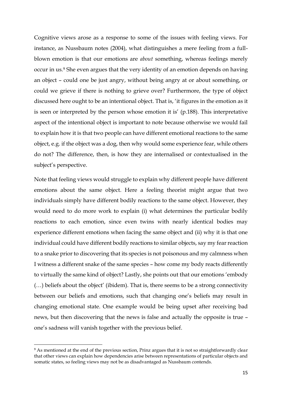Cognitive views arose as a response to some of the issues with feeling views. For instance, as Nussbaum notes (2004), what distinguishes a mere feeling from a fullblown emotion is that our emotions are *about* something, whereas feelings merely occur in us.<sup>9</sup> She even argues that the very identity of an emotion depends on having an object – could one be just angry, without being angry at or about something, or could we grieve if there is nothing to grieve over? Furthermore, the type of object discussed here ought to be an intentional object. That is, 'it figures in the emotion as it is seen or interpreted by the person whose emotion it is' (p.188). This interpretative aspect of the intentional object is important to note because otherwise we would fail to explain how it is that two people can have different emotional reactions to the same object, e.g. if the object was a dog, then why would some experience fear, while others do not? The difference, then, is how they are internalised or contextualised in the subject's perspective.

Note that feeling views would struggle to explain why different people have different emotions about the same object. Here a feeling theorist might argue that two individuals simply have different bodily reactions to the same object. However, they would need to do more work to explain (i) what determines the particular bodily reactions to each emotion, since even twins with nearly identical bodies may experience different emotions when facing the same object and (ii) why it is that one individual could have different bodily reactions to similar objects, say my fear reaction to a snake prior to discovering that its species is not poisonous and my calmness when I witness a different snake of the same species – how come my body reacts differently to virtually the same kind of object? Lastly, she points out that our emotions 'embody (…) beliefs about the object' (ibidem). That is, there seems to be a strong connectivity between our beliefs and emotions, such that changing one's beliefs may result in changing emotional state. One example would be being upset after receiving bad news, but then discovering that the news is false and actually the opposite is true – one's sadness will vanish together with the previous belief.

<sup>&</sup>lt;sup>9</sup> As mentioned at the end of the previous section, Prinz argues that it is not so straightforwardly clear that other views can explain how dependencies arise between representations of particular objects and somatic states, so feeling views may not be as disadvantaged as Nussbaum contends.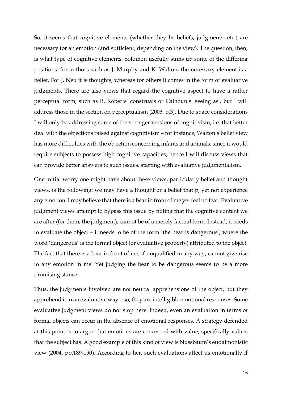So, it seems that cognitive elements (whether they be beliefs, judgments, etc.) are necessary for an emotion (and sufficient, depending on the view). The question, then, is what type of cognitive elements. Solomon usefully sums up some of the differing positions: for authors such as J. Murphy and K. Walton, the necessary element is a belief. For J. Neu it is thoughts, whereas for others it comes in the form of evaluative judgments. There are also views that regard the cognitive aspect to have a rather perceptual form, such as R. Roberts' construals or Calhoun's 'seeing as', but I will address those in the section on perceptualism (2003, p.3). Due to space considerations I will only be addressing some of the stronger versions of cognitivism, i.e. that better deal with the objections raised against cognitivism – for instance, Walton's belief view has more difficulties with the objection concerning infants and animals, since it would require subjects to possess high cognitive capacities; hence I will discuss views that can provide better answers to such issues, starting with evaluative judgmentalism.

One initial worry one might have about these views, particularly belief and thought views, is the following: we may have a thought or a belief that p, yet not experience any emotion. I may believe that there is a bear in front of me yet feel no fear. Evaluative judgment views attempt to bypass this issue by noting that the cognitive content we are after (for them, the judgment), cannot be of a merely factual form. Instead, it needs to evaluate the object – it needs to be of the form 'the bear is dangerous', where the word 'dangerous' is the formal object (or evaluative property) attributed to the object. The fact that there is a bear in front of me, if unqualified in any way, cannot give rise to any emotion in me. Yet judging the bear to be dangerous seems to be a more promising stance.

Thus, the judgments involved are not neutral apprehensions of the object, but they apprehend it in an evaluative way – so, they are intelligible emotional responses. Some evaluative judgment views do not stop here: indeed, even an evaluation in terms of formal objects can occur in the absence of emotional responses. A strategy defended at this point is to argue that emotions are concerned with value, specifically values that the subject has. A good example of this kind of view is Nussbaum's eudaimonistic view (2004, pp.189-190). According to her, such evaluations affect us emotionally if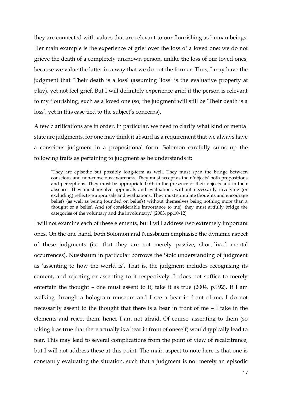they are connected with values that are relevant to our flourishing as human beings. Her main example is the experience of grief over the loss of a loved one: we do not grieve the death of a completely unknown person, unlike the loss of our loved ones, because we value the latter in a way that we do not the former. Thus, I may have the judgment that 'Their death is a loss' (assuming 'loss' is the evaluative property at play), yet not feel grief. But I will definitely experience grief if the person is relevant to my flourishing, such as a loved one (so, the judgment will still be 'Their death is a loss', yet in this case tied to the subject's concerns).

A few clarifications are in order. In particular, we need to clarify what kind of mental state are judgments, for one may think it absurd as a requirement that we always have a conscious judgment in a propositional form. Solomon carefully sums up the following traits as pertaining to judgment as he understands it:

'They are episodic but possibly long-term as well. They must span the bridge between conscious and non-conscious awareness. They must accept as their 'objects' both propositions and perceptions. They must be appropriate both in the presence of their objects and in their absence. They must involve appraisals and evaluations without necessarily involving (or excluding) reflective appraisals and evaluations. They must stimulate thoughts and encourage beliefs (as well as being founded on beliefs) without themselves being nothing more than a thought or a belief. And (of considerable importance to me), they must artfully bridge the categories of the voluntary and the involuntary.' (2003, pp.10-12)

I will not examine each of these elements, but I will address two extremely important ones. On the one hand, both Solomon and Nussbaum emphasise the dynamic aspect of these judgments (i.e. that they are not merely passive, short-lived mental occurrences). Nussbaum in particular borrows the Stoic understanding of judgment as 'assenting to how the world is'. That is, the judgment includes recognising its content, and rejecting or assenting to it respectively. It does not suffice to merely entertain the thought – one must assent to it, take it as true (2004, p.192). If I am walking through a hologram museum and I see a bear in front of me, I do not necessarily assent to the thought that there is a bear in front of me – I take in the elements and reject them, hence I am not afraid. Of course, assenting to them (so taking it as true that there actually is a bear in front of oneself) would typically lead to fear. This may lead to several complications from the point of view of recalcitrance, but I will not address these at this point. The main aspect to note here is that one is constantly evaluating the situation, such that a judgment is not merely an episodic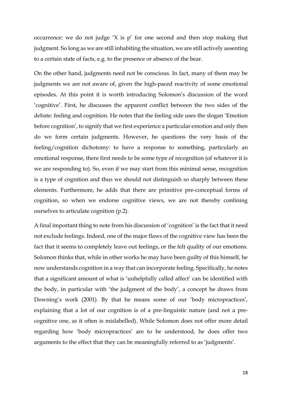occurrence: we do not judge 'X is p' for one second and then stop making that judgment. So long as we are still inhabiting the situation, we are still actively assenting to a certain state of facts, e.g. to the presence or absence of the bear.

On the other hand, judgments need not be conscious. In fact, many of them may be judgments we are not aware of, given the high-paced reactivity of some emotional episodes. At this point it is worth introducing Solomon's discussion of the word 'cognitive'. First, he discusses the apparent conflict between the two sides of the debate: feeling and cognition. He notes that the feeling side uses the slogan 'Emotion before cognition', to signify that we first experience a particular emotion and only then do we form certain judgments. However, he questions the very basis of the feeling/cognition dichotomy: to have a response to something, particularly an emotional response, there first needs to be some type of recognition (of whatever it is we are responding to). So, even if we may start from this minimal sense, recognition is a type of cognition and thus we should not distinguish so sharply between these elements. Furthermore, he adds that there are primitive pre-conceptual forms of cognition, so when we endorse cognitive views, we are not thereby confining ourselves to articulate cognition (p.2).

A final important thing to note from his discussion of 'cognition' is the fact that it need not exclude feelings. Indeed, one of the major flaws of the cognitive view has been the fact that it seems to completely leave out feelings, or the felt quality of our emotions. Solomon thinks that, while in other works he may have been guilty of this himself, he now understands cognition in a way that can incorporate feeling. Specifically, he notes that a significant amount of what is 'unhelpfully called affect' can be identified with the body, in particular with 'the judgment of the body', a concept he draws from Downing's work (2001). By that he means some of our 'body micropractices', explaining that a lot of our cognition is of a pre-linguistic nature (and not a precognitive one, as it often is mislabelled). While Solomon does not offer more detail regarding how 'body micropractices' are to be understood, he does offer two arguments to the effect that they can be meaningfully referred to as 'judgments'.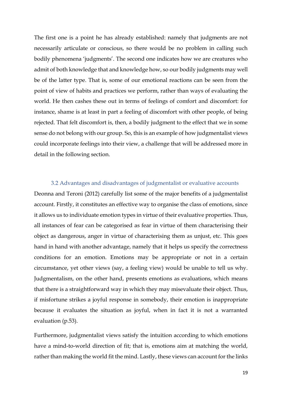The first one is a point he has already established: namely that judgments are not necessarily articulate or conscious, so there would be no problem in calling such bodily phenomena 'judgments'. The second one indicates how we are creatures who admit of both knowledge that and knowledge how, so our bodily judgments may well be of the latter type. That is, some of our emotional reactions can be seen from the point of view of habits and practices we perform, rather than ways of evaluating the world. He then cashes these out in terms of feelings of comfort and discomfort: for instance, shame is at least in part a feeling of discomfort with other people, of being rejected. That felt discomfort is, then, a bodily judgment to the effect that we in some sense do not belong with our group. So, this is an example of how judgmentalist views could incorporate feelings into their view, a challenge that will be addressed more in detail in the following section.

#### 3.2 Advantages and disadvantages of judgmentalist or evaluative accounts

<span id="page-19-0"></span>Deonna and Teroni (2012) carefully list some of the major benefits of a judgmentalist account. Firstly, it constitutes an effective way to organise the class of emotions, since it allows us to individuate emotion types in virtue of their evaluative properties. Thus, all instances of fear can be categorised as fear in virtue of them characterising their object as dangerous, anger in virtue of characterising them as unjust, etc. This goes hand in hand with another advantage, namely that it helps us specify the correctness conditions for an emotion. Emotions may be appropriate or not in a certain circumstance, yet other views (say, a feeling view) would be unable to tell us why. Judgmentalism, on the other hand, presents emotions as evaluations, which means that there is a straightforward way in which they may misevaluate their object. Thus, if misfortune strikes a joyful response in somebody, their emotion is inappropriate because it evaluates the situation as joyful, when in fact it is not a warranted evaluation (p.53).

Furthermore, judgmentalist views satisfy the intuition according to which emotions have a mind-to-world direction of fit; that is, emotions aim at matching the world, rather than making the world fit the mind. Lastly, these views can account for the links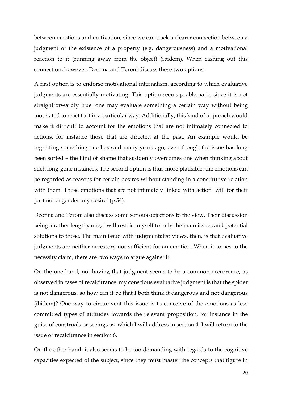between emotions and motivation, since we can track a clearer connection between a judgment of the existence of a property (e.g. dangerousness) and a motivational reaction to it (running away from the object) (ibidem). When cashing out this connection, however, Deonna and Teroni discuss these two options:

A first option is to endorse motivational internalism, according to which evaluative judgments are essentially motivating. This option seems problematic, since it is not straightforwardly true: one may evaluate something a certain way without being motivated to react to it in a particular way. Additionally, this kind of approach would make it difficult to account for the emotions that are not intimately connected to actions, for instance those that are directed at the past. An example would be regretting something one has said many years ago, even though the issue has long been sorted – the kind of shame that suddenly overcomes one when thinking about such long-gone instances. The second option is thus more plausible: the emotions can be regarded as reasons for certain desires without standing in a constitutive relation with them. Those emotions that are not intimately linked with action 'will for their part not engender any desire' (p.54).

Deonna and Teroni also discuss some serious objections to the view. Their discussion being a rather lengthy one, I will restrict myself to only the main issues and potential solutions to those. The main issue with judgmentalist views, then, is that evaluative judgments are neither necessary nor sufficient for an emotion. When it comes to the necessity claim, there are two ways to argue against it.

On the one hand, not having that judgment seems to be a common occurrence, as observed in cases of recalcitrance: my conscious evaluative judgment is that the spider is not dangerous, so how can it be that I both think it dangerous and not dangerous (ibidem)? One way to circumvent this issue is to conceive of the emotions as less committed types of attitudes towards the relevant proposition, for instance in the guise of construals or seeings as, which I will address in section 4. I will return to the issue of recalcitrance in section 6.

On the other hand, it also seems to be too demanding with regards to the cognitive capacities expected of the subject, since they must master the concepts that figure in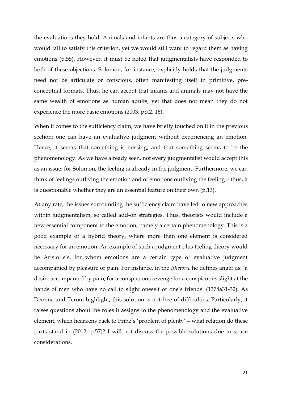the evaluations they hold. Animals and infants are thus a category of subjects who would fail to satisfy this criterion, yet we would still want to regard them as having emotions (p.55). However, it must be noted that judgmentalists have responded to both of these objections. Solomon, for instance, explicitly holds that the judgments need not be articulate or conscious, often manifesting itself in primitive, preconceptual formats. Thus, he can accept that infants and animals may not have the same wealth of emotions as human adults, yet that does not mean they do not experience the more basic emotions (2003, pp.2, 16).

When it comes to the sufficiency claim, we have briefly touched on it in the previous section: one can have an evaluative judgment without experiencing an emotion. Hence, it seems that something is missing, and that something seems to be the phenomenology. As we have already seen, not every judgmentalist would accept this as an issue: for Solomon, the feeling is already in the judgment. Furthermore, we can think of feelings outliving the emotion and of emotions outliving the feeling – thus, it is questionable whether they are an essential feature on their own (p.13).

At any rate, the issues surrounding the sufficiency claim have led to new approaches within judgmentalism, so called add-on strategies. Thus, theorists would include a new essential component to the emotion, namely a certain phenomenology. This is a good example of a hybrid theory, where more than one element is considered necessary for an emotion. An example of such a judgment plus feeling theory would be Aristotle's, for whom emotions are a certain type of evaluative judgment accompanied by pleasure or pain. For instance, in the *Rhetoric* he defines anger as: 'a desire accompanied by pain, for a conspicuous revenge for a conspicuous slight at the hands of men who have no call to slight oneself or one's friends' (1378a31-32). As Deonna and Teroni highlight, this solution is not free of difficulties. Particularly, it raises questions about the roles it assigns to the phenomenology and the evaluative element, which hearkens back to Prinz's 'problem of plenty' – what relation do these parts stand in (2012, p.57)? I will not discuss the possible solutions due to space considerations.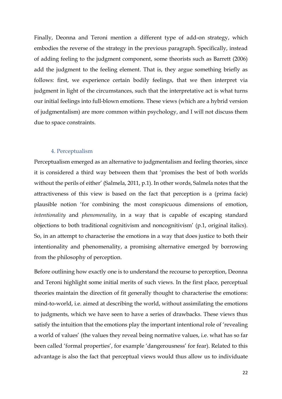Finally, Deonna and Teroni mention a different type of add-on strategy, which embodies the reverse of the strategy in the previous paragraph. Specifically, instead of adding feeling to the judgment component, some theorists such as Barrett (2006) add the judgment to the feeling element. That is, they argue something briefly as follows: first, we experience certain bodily feelings, that we then interpret via judgment in light of the circumstances, such that the interpretative act is what turns our initial feelings into full-blown emotions. These views (which are a hybrid version of judgmentalism) are more common within psychology, and I will not discuss them due to space constraints.

## 4. Perceptualism

<span id="page-22-0"></span>Perceptualism emerged as an alternative to judgmentalism and feeling theories, since it is considered a third way between them that 'promises the best of both worlds without the perils of either' (Salmela, 2011, p.1). In other words, Salmela notes that the attractiveness of this view is based on the fact that perception is a (prima facie) plausible notion 'for combining the most conspicuous dimensions of emotion, *intentionality* and *phenomenality*, in a way that is capable of escaping standard objections to both traditional cognitivism and noncognitivism' (p.1, original italics). So, in an attempt to characterise the emotions in a way that does justice to both their intentionality and phenomenality, a promising alternative emerged by borrowing from the philosophy of perception.

Before outlining how exactly one is to understand the recourse to perception, Deonna and Teroni highlight some initial merits of such views. In the first place, perceptual theories maintain the direction of fit generally thought to characterise the emotions: mind-to-world, i.e. aimed at describing the world, without assimilating the emotions to judgments, which we have seen to have a series of drawbacks. These views thus satisfy the intuition that the emotions play the important intentional role of 'revealing a world of values' (the values they reveal being normative values, i.e. what has so far been called 'formal properties', for example 'dangerousness' for fear). Related to this advantage is also the fact that perceptual views would thus allow us to individuate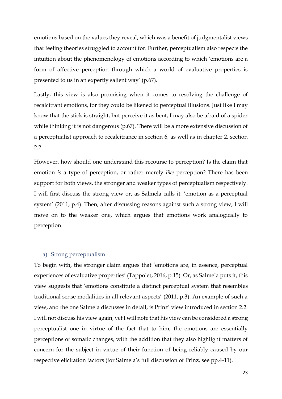emotions based on the values they reveal, which was a benefit of judgmentalist views that feeling theories struggled to account for. Further, perceptualism also respects the intuition about the phenomenology of emotions according to which 'emotions are a form of affective perception through which a world of evaluative properties is presented to us in an expertly salient way' (p.67).

Lastly, this view is also promising when it comes to resolving the challenge of recalcitrant emotions, for they could be likened to perceptual illusions. Just like I may know that the stick is straight, but perceive it as bent, I may also be afraid of a spider while thinking it is not dangerous (p.67). There will be a more extensive discussion of a perceptualist approach to recalcitrance in section 6, as well as in chapter 2, section 2.2.

However, how should one understand this recourse to perception? Is the claim that emotion *is* a type of perception, or rather merely *like* perception? There has been support for both views, the stronger and weaker types of perceptualism respectively. I will first discuss the strong view or, as Salmela calls it, 'emotion as a perceptual system' (2011, p.4). Then, after discussing reasons against such a strong view, I will move on to the weaker one, which argues that emotions work analogically to perception.

## <span id="page-23-0"></span>a) Strong perceptualism

To begin with, the stronger claim argues that 'emotions are, in essence, perceptual experiences of evaluative properties' (Tappolet, 2016, p.15). Or, as Salmela puts it, this view suggests that 'emotions constitute a distinct perceptual system that resembles traditional sense modalities in all relevant aspects' (2011, p.3). An example of such a view, and the one Salmela discusses in detail, is Prinz' view introduced in section 2.2. I will not discuss his view again, yet I will note that his view can be considered a strong perceptualist one in virtue of the fact that to him, the emotions are essentially perceptions of somatic changes, with the addition that they also highlight matters of concern for the subject in virtue of their function of being reliably caused by our respective elicitation factors (for Salmela's full discussion of Prinz, see pp.4-11).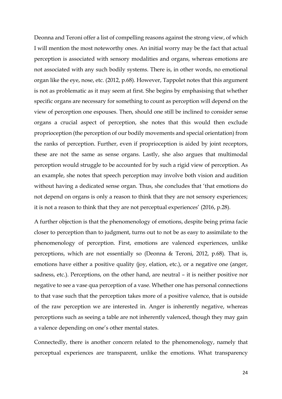Deonna and Teroni offer a list of compelling reasons against the strong view, of which I will mention the most noteworthy ones. An initial worry may be the fact that actual perception is associated with sensory modalities and organs, whereas emotions are not associated with any such bodily systems. There is, in other words, no emotional organ like the eye, nose, etc. (2012, p.68). However, Tappolet notes that this argument is not as problematic as it may seem at first. She begins by emphasising that whether specific organs are necessary for something to count as perception will depend on the view of perception one espouses. Then, should one still be inclined to consider sense organs a crucial aspect of perception, she notes that this would then exclude proprioception (the perception of our bodily movements and special orientation) from the ranks of perception. Further, even if proprioception is aided by joint receptors, these are not the same as sense organs. Lastly, she also argues that multimodal perception would struggle to be accounted for by such a rigid view of perception. As an example, she notes that speech perception may involve both vision and audition without having a dedicated sense organ. Thus, she concludes that 'that emotions do not depend on organs is only a reason to think that they are not sensory experiences; it is not a reason to think that they are not perceptual experiences' (2016, p.28).

A further objection is that the phenomenology of emotions, despite being prima facie closer to perception than to judgment, turns out to not be as easy to assimilate to the phenomenology of perception. First, emotions are valenced experiences, unlike perceptions, which are not essentially so (Deonna & Teroni, 2012, p.68). That is, emotions have either a positive quality (joy, elation, etc.), or a negative one (anger, sadness, etc.). Perceptions, on the other hand, are neutral – it is neither positive nor negative to see a vase qua perception of a vase. Whether one has personal connections to that vase such that the perception takes more of a positive valence, that is outside of the raw perception we are interested in. Anger is inherently negative, whereas perceptions such as seeing a table are not inherently valenced, though they may gain a valence depending on one's other mental states.

Connectedly, there is another concern related to the phenomenology, namely that perceptual experiences are transparent, unlike the emotions. What transparency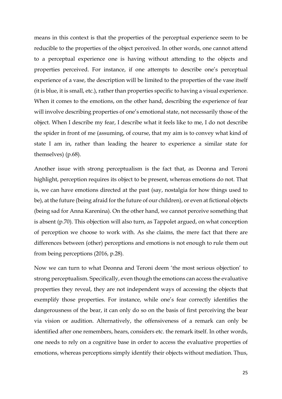means in this context is that the properties of the perceptual experience seem to be reducible to the properties of the object perceived. In other words, one cannot attend to a perceptual experience one is having without attending to the objects and properties perceived. For instance, if one attempts to describe one's perceptual experience of a vase, the description will be limited to the properties of the vase itself (it is blue, it is small, etc.), rather than properties specific to having a visual experience. When it comes to the emotions, on the other hand, describing the experience of fear will involve describing properties of one's emotional state, not necessarily those of the object. When I describe my fear, I describe what it feels like to me, I do not describe the spider in front of me (assuming, of course, that my aim is to convey what kind of state I am in, rather than leading the hearer to experience a similar state for themselves) (p.68).

Another issue with strong perceptualism is the fact that, as Deonna and Teroni highlight, perception requires its object to be present, whereas emotions do not. That is, we can have emotions directed at the past (say, nostalgia for how things used to be), at the future (being afraid for the future of our children), or even at fictional objects (being sad for Anna Karenina). On the other hand, we cannot perceive something that is absent (p.70). This objection will also turn, as Tappolet argued, on what conception of perception we choose to work with. As she claims, the mere fact that there are differences between (other) perceptions and emotions is not enough to rule them out from being perceptions (2016, p.28).

Now we can turn to what Deonna and Teroni deem 'the most serious objection' to strong perceptualism. Specifically, even though the emotions can access the evaluative properties they reveal, they are not independent ways of accessing the objects that exemplify those properties. For instance, while one's fear correctly identifies the dangerousness of the bear, it can only do so on the basis of first perceiving the bear via vision or audition. Alternatively, the offensiveness of a remark can only be identified after one remembers, hears, considers etc. the remark itself. In other words, one needs to rely on a cognitive base in order to access the evaluative properties of emotions, whereas perceptions simply identify their objects without mediation. Thus,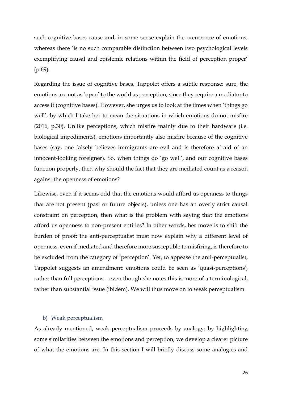such cognitive bases cause and, in some sense explain the occurrence of emotions, whereas there 'is no such comparable distinction between two psychological levels exemplifying causal and epistemic relations within the field of perception proper' (p.69).

Regarding the issue of cognitive bases, Tappolet offers a subtle response: sure, the emotions are not as 'open' to the world as perception, since they require a mediator to access it (cognitive bases). However, she urges us to look at the times when 'things go well', by which I take her to mean the situations in which emotions do not misfire (2016, p.30). Unlike perceptions, which misfire mainly due to their hardware (i.e. biological impediments), emotions importantly also misfire because of the cognitive bases (say, one falsely believes immigrants are evil and is therefore afraid of an innocent-looking foreigner). So, when things do 'go well', and our cognitive bases function properly, then why should the fact that they are mediated count as a reason against the openness of emotions?

Likewise, even if it seems odd that the emotions would afford us openness to things that are not present (past or future objects), unless one has an overly strict causal constraint on perception, then what is the problem with saying that the emotions afford us openness to non-present entities? In other words, her move is to shift the burden of proof: the anti-perceptualist must now explain why a different level of openness, even if mediated and therefore more susceptible to misfiring, is therefore to be excluded from the category of 'perception'. Yet, to appease the anti-perceptualist, Tappolet suggests an amendment: emotions could be seen as 'quasi-perceptions', rather than full perceptions – even though she notes this is more of a terminological, rather than substantial issue (ibidem). We will thus move on to weak perceptualism.

#### <span id="page-26-0"></span>b) Weak perceptualism

As already mentioned, weak perceptualism proceeds by analogy: by highlighting some similarities between the emotions and perception, we develop a clearer picture of what the emotions are. In this section I will briefly discuss some analogies and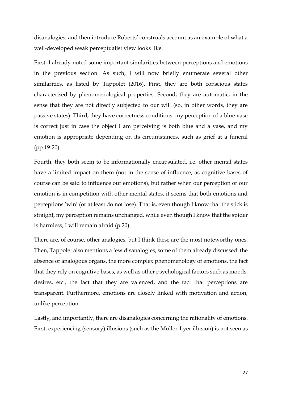disanalogies, and then introduce Roberts' construals account as an example of what a well-developed weak perceptualist view looks like.

First, I already noted some important similarities between perceptions and emotions in the previous section. As such, I will now briefly enumerate several other similarities, as listed by Tappolet (2016). First, they are both conscious states characterised by phenomenological properties. Second, they are automatic, in the sense that they are not directly subjected to our will (so, in other words, they are passive states). Third, they have correctness conditions: my perception of a blue vase is correct just in case the object I am perceiving is both blue and a vase, and my emotion is appropriate depending on its circumstances, such as grief at a funeral (pp.19-20).

Fourth, they both seem to be informationally encapsulated, i.e. other mental states have a limited impact on them (not in the sense of influence, as cognitive bases of course can be said to influence our emotions), but rather when our perception or our emotion is in competition with other mental states, it seems that both emotions and perceptions 'win' (or at least do not lose). That is, even though I know that the stick is straight, my perception remains unchanged, while even though I know that the spider is harmless, I will remain afraid (p.20).

There are, of course, other analogies, but I think these are the most noteworthy ones. Then, Tappolet also mentions a few disanalogies, some of them already discussed: the absence of analogous organs, the more complex phenomenology of emotions, the fact that they rely on cognitive bases, as well as other psychological factors such as moods, desires, etc., the fact that they are valenced, and the fact that perceptions are transparent. Furthermore, emotions are closely linked with motivation and action, unlike perception.

Lastly, and importantly, there are disanalogies concerning the rationality of emotions. First, experiencing (sensory) illusions (such as the Müller-Lyer illusion) is not seen as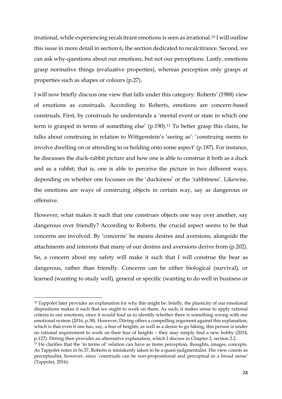irrational, while experiencing recalcitrant emotions is seen as irrational.<sup>10</sup> I will outline this issue in more detail in section 6, the section dedicated to recalcitrance. Second, we can ask why-questions about our emotions, but not our perceptions. Lastly, emotions grasp normative things (evaluative properties), whereas perception only grasps at properties such as shapes or colours (p.27).

I will now briefly discuss one view that falls under this category: Roberts' (1988) view of emotions as construals. According to Roberts, emotions are concern-based construals. First, by construals he understands a 'mental event or state in which one term is grasped in terms of something else'  $(p.190)$ .<sup>11</sup> To better grasp this claim, he talks about construing in relation to Wittgenstein's 'seeing as': 'construing seems to involve dwelling on or attending to or holding onto some aspect' (p.187). For instance, he discusses the duck-rabbit picture and how one is able to construe it both as a duck and as a rabbit; that is, one is able to perceive the picture in two different ways, depending on whether one focusses on the 'duckiness' or the 'rabbitness'. Likewise, the emotions are ways of construing objects in certain way, say as dangerous or offensive.

However, what makes it such that one construes objects one way over another, say dangerous over friendly? According to Roberts, the crucial aspect seems to be that concerns are involved. By 'concerns' he means desires and aversions, alongside the attachments and interests that many of our desires and aversions derive from (p.202). So, a concern about my safety will make it such that I will construe the bear as dangerous, rather than friendly. Concerns can be either biological (survival), or learned (wanting to study well), general or specific (wanting to do well in business or

<sup>&</sup>lt;sup>10</sup> Tappolet later provides an explanation for why this might be: briefly, the plasticity of our emotional dispositions makes it such that we ought to work on them. As such, it makes sense to apply rational criteria to our emotions, since it would lead us to identify whether there is something wrong with our emotional system (2016, p.38). However, Döring offers a compelling argument against this explanation, which is that even if one has, say, a fear of heights, as well as a desire to go hiking, this person is under no rational requirement to work on their fear of heights – they may simply find a new hobby (2014, p.127). Döring then provides an alternative explanation, which I discuss in Chapter 2, section 2.2.

 $11$  He clarifies that the 'in terms of' relation can have as items perception, thoughts, images, concepts. As Tappolet notes in fn.37, Roberts is mistakenly taken to be a quasi-judgmentalist. His view counts as perceptualist, however, since 'construals can be non-propositional and perceptual in a broad sense' (Tappolet, 2016).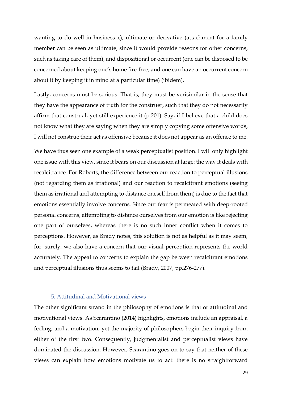wanting to do well in business x), ultimate or derivative (attachment for a family member can be seen as ultimate, since it would provide reasons for other concerns, such as taking care of them), and dispositional or occurrent (one can be disposed to be concerned about keeping one's home fire-free, and one can have an occurrent concern about it by keeping it in mind at a particular time) (ibidem).

Lastly, concerns must be serious. That is, they must be verisimilar in the sense that they have the appearance of truth for the construer, such that they do not necessarily affirm that construal, yet still experience it (p.201). Say, if I believe that a child does not know what they are saying when they are simply copying some offensive words, I will not construe their act as offensive because it does not appear as an offence to me.

We have thus seen one example of a weak perceptualist position. I will only highlight one issue with this view, since it bears on our discussion at large: the way it deals with recalcitrance. For Roberts, the difference between our reaction to perceptual illusions (not regarding them as irrational) and our reaction to recalcitrant emotions (seeing them as irrational and attempting to distance oneself from them) is due to the fact that emotions essentially involve concerns. Since our fear is permeated with deep-rooted personal concerns, attempting to distance ourselves from our emotion is like rejecting one part of ourselves, whereas there is no such inner conflict when it comes to perceptions. However, as Brady notes, this solution is not as helpful as it may seem, for, surely, we also have a concern that our visual perception represents the world accurately. The appeal to concerns to explain the gap between recalcitrant emotions and perceptual illusions thus seems to fail (Brady, 2007, pp.276-277).

# 5. Attitudinal and Motivational views

<span id="page-29-0"></span>The other significant strand in the philosophy of emotions is that of attitudinal and motivational views. As Scarantino (2014) highlights, emotions include an appraisal, a feeling, and a motivation, yet the majority of philosophers begin their inquiry from either of the first two. Consequently, judgmentalist and perceptualist views have dominated the discussion. However, Scarantino goes on to say that neither of these views can explain how emotions motivate us to act: there is no straightforward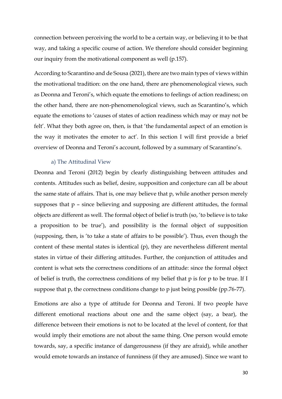connection between perceiving the world to be a certain way, or believing it to be that way, and taking a specific course of action. We therefore should consider beginning our inquiry from the motivational component as well (p.157).

According to Scarantino and de Sousa (2021), there are two main types of views within the motivational tradition: on the one hand, there are phenomenological views, such as Deonna and Teroni's, which equate the emotions to feelings of action readiness; on the other hand, there are non-phenomenological views, such as Scarantino's, which equate the emotions to 'causes of states of action readiness which may or may not be felt'. What they both agree on, then, is that 'the fundamental aspect of an emotion is the way it motivates the emoter to act'. In this section I will first provide a brief overview of Deonna and Teroni's account, followed by a summary of Scarantino's.

#### a) The Attitudinal View

<span id="page-30-0"></span>Deonna and Teroni (2012) begin by clearly distinguishing between attitudes and contents. Attitudes such as belief, desire, supposition and conjecture can all be about the same state of affairs. That is, one may believe that p, while another person merely supposes that p – since believing and supposing are different attitudes, the formal objects are different as well. The formal object of belief is truth (so, 'to believe is to take a proposition to be true'), and possibility is the formal object of supposition (supposing, then, is 'to take a state of affairs to be possible'). Thus, even though the content of these mental states is identical (p), they are nevertheless different mental states in virtue of their differing attitudes. Further, the conjunction of attitudes and content is what sets the correctness conditions of an attitude: since the formal object of belief is truth, the correctness conditions of my belief that p is for p to be true. If I suppose that p, the correctness conditions change to p just being possible (pp.76-77).

Emotions are also a type of attitude for Deonna and Teroni. If two people have different emotional reactions about one and the same object (say, a bear), the difference between their emotions is not to be located at the level of content, for that would imply their emotions are not about the same thing. One person would emote towards, say, a specific instance of dangerousness (if they are afraid), while another would emote towards an instance of funniness (if they are amused). Since we want to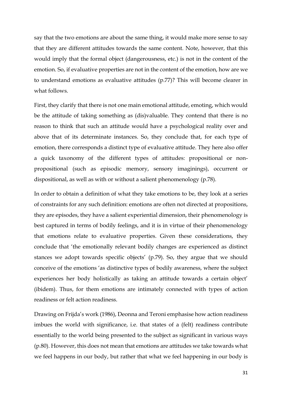say that the two emotions are about the same thing, it would make more sense to say that they are different attitudes towards the same content. Note, however, that this would imply that the formal object (dangerousness, etc.) is not in the content of the emotion. So, if evaluative properties are not in the content of the emotion, how are we to understand emotions as evaluative attitudes (p.77)? This will become clearer in what follows.

First, they clarify that there is not one main emotional attitude, emoting, which would be the attitude of taking something as (dis)valuable. They contend that there is no reason to think that such an attitude would have a psychological reality over and above that of its determinate instances. So, they conclude that, for each type of emotion, there corresponds a distinct type of evaluative attitude. They here also offer a quick taxonomy of the different types of attitudes: propositional or nonpropositional (such as episodic memory, sensory imaginings), occurrent or dispositional, as well as with or without a salient phenomenology (p.78).

In order to obtain a definition of what they take emotions to be, they look at a series of constraints for any such definition: emotions are often not directed at propositions, they are episodes, they have a salient experiential dimension, their phenomenology is best captured in terms of bodily feelings, and it is in virtue of their phenomenology that emotions relate to evaluative properties. Given these considerations, they conclude that 'the emotionally relevant bodily changes are experienced as distinct stances we adopt towards specific objects' (p.79). So, they argue that we should conceive of the emotions 'as distinctive types of bodily awareness, where the subject experiences her body holistically as taking an attitude towards a certain object' (ibidem). Thus, for them emotions are intimately connected with types of action readiness or felt action readiness.

Drawing on Frijda's work (1986), Deonna and Teroni emphasise how action readiness imbues the world with significance, i.e. that states of a (felt) readiness contribute essentially to the world being presented to the subject as significant in various ways (p.80). However, this does not mean that emotions are attitudes we take towards what we feel happens in our body, but rather that what we feel happening in our body is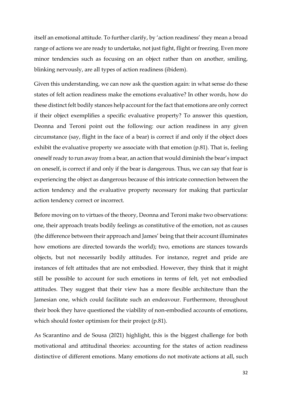itself an emotional attitude. To further clarify, by 'action readiness' they mean a broad range of actions we are ready to undertake, not just fight, flight or freezing. Even more minor tendencies such as focusing on an object rather than on another, smiling, blinking nervously, are all types of action readiness (ibidem).

Given this understanding, we can now ask the question again: in what sense do these states of felt action readiness make the emotions evaluative? In other words, how do these distinct felt bodily stances help account for the fact that emotions are only correct if their object exemplifies a specific evaluative property? To answer this question, Deonna and Teroni point out the following: our action readiness in any given circumstance (say, flight in the face of a bear) is correct if and only if the object does exhibit the evaluative property we associate with that emotion (p.81). That is, feeling oneself ready to run away from a bear, an action that would diminish the bear's impact on oneself, is correct if and only if the bear is dangerous. Thus, we can say that fear is experiencing the object as dangerous because of this intricate connection between the action tendency and the evaluative property necessary for making that particular action tendency correct or incorrect.

Before moving on to virtues of the theory, Deonna and Teroni make two observations: one, their approach treats bodily feelings as constitutive of the emotion, not as causes (the difference between their approach and James' being that their account illuminates how emotions are directed towards the world); two, emotions are stances towards objects, but not necessarily bodily attitudes. For instance, regret and pride are instances of felt attitudes that are not embodied. However, they think that it might still be possible to account for such emotions in terms of felt, yet not embodied attitudes. They suggest that their view has a more flexible architecture than the Jamesian one, which could facilitate such an endeavour. Furthermore, throughout their book they have questioned the viability of non-embodied accounts of emotions, which should foster optimism for their project (p.81).

As Scarantino and de Sousa (2021) highlight, this is the biggest challenge for both motivational and attitudinal theories: accounting for the states of action readiness distinctive of different emotions. Many emotions do not motivate actions at all, such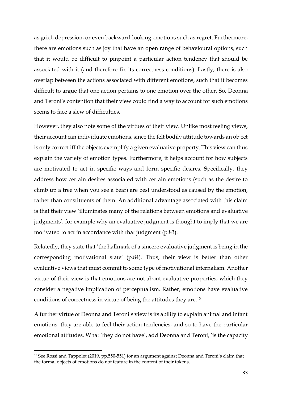as grief, depression, or even backward-looking emotions such as regret. Furthermore, there are emotions such as joy that have an open range of behavioural options, such that it would be difficult to pinpoint a particular action tendency that should be associated with it (and therefore fix its correctness conditions). Lastly, there is also overlap between the actions associated with different emotions, such that it becomes difficult to argue that one action pertains to one emotion over the other. So, Deonna and Teroni's contention that their view could find a way to account for such emotions seems to face a slew of difficulties.

However, they also note some of the virtues of their view. Unlike most feeling views, their account can individuate emotions, since the felt bodily attitude towards an object is only correct iff the objects exemplify a given evaluative property. This view can thus explain the variety of emotion types. Furthermore, it helps account for how subjects are motivated to act in specific ways and form specific desires. Specifically, they address how certain desires associated with certain emotions (such as the desire to climb up a tree when you see a bear) are best understood as caused by the emotion, rather than constituents of them. An additional advantage associated with this claim is that their view 'illuminates many of the relations between emotions and evaluative judgments', for example why an evaluative judgment is thought to imply that we are motivated to act in accordance with that judgment (p.83).

Relatedly, they state that 'the hallmark of a sincere evaluative judgment is being in the corresponding motivational state' (p.84). Thus, their view is better than other evaluative views that must commit to some type of motivational internalism. Another virtue of their view is that emotions are not about evaluative properties, which they consider a negative implication of perceptualism. Rather, emotions have evaluative conditions of correctness in virtue of being the attitudes they are.<sup>12</sup>

A further virtue of Deonna and Teroni's view is its ability to explain animal and infant emotions: they are able to feel their action tendencies, and so to have the particular emotional attitudes. What 'they do not have', add Deonna and Teroni, 'is the capacity

<sup>12</sup> See Rossi and Tappolet (2019, pp.550-551) for an argument against Deonna and Teroni's claim that the formal objects of emotions do not feature in the content of their tokens.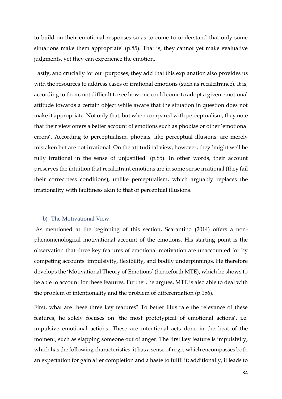to build on their emotional responses so as to come to understand that only some situations make them appropriate' (p.85). That is, they cannot yet make evaluative judgments, yet they can experience the emotion.

Lastly, and crucially for our purposes, they add that this explanation also provides us with the resources to address cases of irrational emotions (such as recalcitrance). It is, according to them, not difficult to see how one could come to adopt a given emotional attitude towards a certain object while aware that the situation in question does not make it appropriate. Not only that, but when compared with perceptualism, they note that their view offers a better account of emotions such as phobias or other 'emotional errors'. According to perceptualism, phobias, like perceptual illusions, are merely mistaken but are not irrational. On the attitudinal view, however, they 'might well be fully irrational in the sense of unjustified' (p.85). In other words, their account preserves the intuition that recalcitrant emotions are in some sense irrational (they fail their correctness conditions), unlike perceptualism, which arguably replaces the irrationality with faultiness akin to that of perceptual illusions.

#### <span id="page-34-0"></span>b) The Motivational View

As mentioned at the beginning of this section, Scarantino (2014) offers a nonphenomenological motivational account of the emotions. His starting point is the observation that three key features of emotional motivation are unaccounted for by competing accounts: impulsivity, flexibility, and bodily underpinnings. He therefore develops the 'Motivational Theory of Emotions' (henceforth MTE), which he shows to be able to account for these features. Further, he argues, MTE is also able to deal with the problem of intentionality and the problem of differentiation (p.156).

First, what are these three key features? To better illustrate the relevance of these features, he solely focuses on 'the most prototypical of emotional actions', i.e. impulsive emotional actions. These are intentional acts done in the heat of the moment, such as slapping someone out of anger. The first key feature is impulsivity, which has the following characteristics: it has a sense of urge, which encompasses both an expectation for gain after completion and a haste to fulfil it; additionally, it leads to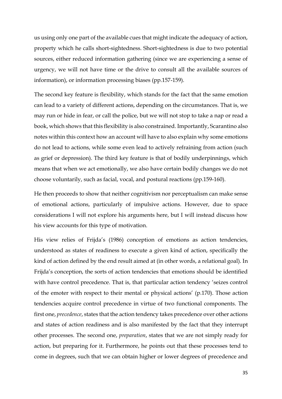us using only one part of the available cues that might indicate the adequacy of action, property which he calls short-sightedness. Short-sightedness is due to two potential sources, either reduced information gathering (since we are experiencing a sense of urgency, we will not have time or the drive to consult all the available sources of information), or information processing biases (pp.157-159).

The second key feature is flexibility, which stands for the fact that the same emotion can lead to a variety of different actions, depending on the circumstances. That is, we may run or hide in fear, or call the police, but we will not stop to take a nap or read a book, which shows that this flexibility is also constrained. Importantly, Scarantino also notes within this context how an account will have to also explain why some emotions do not lead to actions, while some even lead to actively refraining from action (such as grief or depression). The third key feature is that of bodily underpinnings, which means that when we act emotionally, we also have certain bodily changes we do not choose voluntarily, such as facial, vocal, and postural reactions (pp.159-160).

He then proceeds to show that neither cognitivism nor perceptualism can make sense of emotional actions, particularly of impulsive actions. However, due to space considerations I will not explore his arguments here, but I will instead discuss how his view accounts for this type of motivation.

His view relies of Frijda's (1986) conception of emotions as action tendencies, understood as states of readiness to execute a given kind of action, specifically the kind of action defined by the end result aimed at (in other words, a relational goal). In Frijda's conception, the sorts of action tendencies that emotions should be identified with have control precedence. That is, that particular action tendency 'seizes control of the emoter with respect to their mental or physical actions' (p.170). Those action tendencies acquire control precedence in virtue of two functional components. The first one, *precedence*, states that the action tendency takes precedence over other actions and states of action readiness and is also manifested by the fact that they interrupt other processes. The second one, *preparation*, states that we are not simply ready for action, but preparing for it. Furthermore, he points out that these processes tend to come in degrees, such that we can obtain higher or lower degrees of precedence and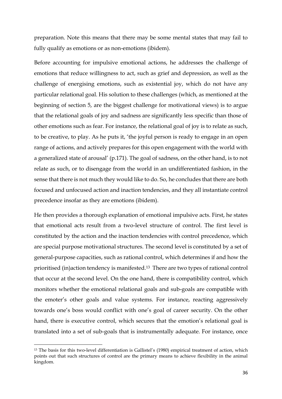preparation. Note this means that there may be some mental states that may fail to fully qualify as emotions or as non-emotions (ibidem).

Before accounting for impulsive emotional actions, he addresses the challenge of emotions that reduce willingness to act, such as grief and depression, as well as the challenge of energising emotions, such as existential joy, which do not have any particular relational goal. His solution to these challenges (which, as mentioned at the beginning of section 5, are the biggest challenge for motivational views) is to argue that the relational goals of joy and sadness are significantly less specific than those of other emotions such as fear. For instance, the relational goal of joy is to relate as such, to be creative, to play. As he puts it, 'the joyful person is ready to engage in an open range of actions, and actively prepares for this open engagement with the world with a generalized state of arousal' (p.171). The goal of sadness, on the other hand, is to not relate as such, or to disengage from the world in an undifferentiated fashion, in the sense that there is not much they would like to do. So, he concludes that there are both focused and unfocused action and inaction tendencies, and they all instantiate control precedence insofar as they are emotions (ibidem).

He then provides a thorough explanation of emotional impulsive acts. First, he states that emotional acts result from a two-level structure of control. The first level is constituted by the action and the inaction tendencies with control precedence, which are special purpose motivational structures. The second level is constituted by a set of general-purpose capacities, such as rational control, which determines if and how the prioritised (in)action tendency is manifested.13 There are two types of rational control that occur at the second level. On the one hand, there is compatibility control, which monitors whether the emotional relational goals and sub-goals are compatible with the emoter's other goals and value systems. For instance, reacting aggressively towards one's boss would conflict with one's goal of career security. On the other hand, there is executive control, which secures that the emotion's relational goal is translated into a set of sub-goals that is instrumentally adequate. For instance, once

<sup>13</sup> The basis for this two-level differentiation is Gallistel's (1980) empirical treatment of action, which points out that such structures of control are the primary means to achieve flexibility in the animal kingdom.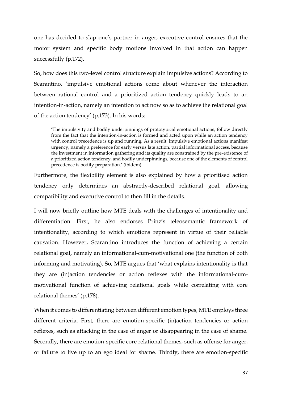one has decided to slap one's partner in anger, executive control ensures that the motor system and specific body motions involved in that action can happen successfully (p.172).

So, how does this two-level control structure explain impulsive actions? According to Scarantino, 'impulsive emotional actions come about whenever the interaction between rational control and a prioritized action tendency quickly leads to an intention-in-action, namely an intention to act now so as to achieve the relational goal of the action tendency' (p.173). In his words:

'The impulsivity and bodily underpinnings of prototypical emotional actions, follow directly from the fact that the intention-in-action is formed and acted upon while an action tendency with control precedence is up and running. As a result, impulsive emotional actions manifest urgency, namely a preference for early versus late action, partial informational access, because the investment in information gathering and its quality are constrained by the pre-existence of a prioritized action tendency, and bodily underpinnings, because one of the elements of control precedence is bodily preparation.' (ibidem)

Furthermore, the flexibility element is also explained by how a prioritised action tendency only determines an abstractly-described relational goal, allowing compatibility and executive control to then fill in the details.

I will now briefly outline how MTE deals with the challenges of intentionality and differentiation. First, he also endorses Prinz's teleosemantic framework of intentionality, according to which emotions represent in virtue of their reliable causation. However, Scarantino introduces the function of achieving a certain relational goal, namely an informational-cum-motivational one (the function of both informing and motivating). So, MTE argues that 'what explains intentionality is that they are (in)action tendencies or action reflexes with the informational-cummotivational function of achieving relational goals while correlating with core relational themes' (p.178).

When it comes to differentiating between different emotion types, MTE employs three different criteria. First, there are emotion-specific (in)action tendencies or action reflexes, such as attacking in the case of anger or disappearing in the case of shame. Secondly, there are emotion-specific core relational themes, such as offense for anger, or failure to live up to an ego ideal for shame. Thirdly, there are emotion-specific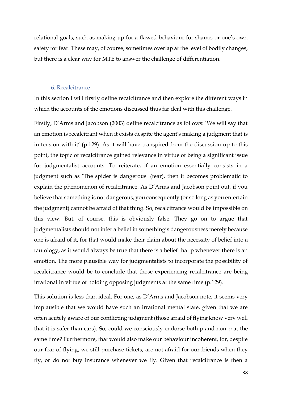relational goals, such as making up for a flawed behaviour for shame, or one's own safety for fear. These may, of course, sometimes overlap at the level of bodily changes, but there is a clear way for MTE to answer the challenge of differentiation.

#### 6. Recalcitrance

In this section I will firstly define recalcitrance and then explore the different ways in which the accounts of the emotions discussed thus far deal with this challenge.

Firstly, D'Arms and Jacobson (2003) define recalcitrance as follows: 'We will say that an emotion is recalcitrant when it exists despite the agent's making a judgment that is in tension with it' (p.129). As it will have transpired from the discussion up to this point, the topic of recalcitrance gained relevance in virtue of being a significant issue for judgmentalist accounts. To reiterate, if an emotion essentially consists in a judgment such as 'The spider is dangerous' (fear), then it becomes problematic to explain the phenomenon of recalcitrance. As D'Arms and Jacobson point out, if you believe that something is not dangerous, you consequently (or so long as you entertain the judgment) cannot be afraid of that thing. So, recalcitrance would be impossible on this view. But, of course, this is obviously false. They go on to argue that judgmentalists should not infer a belief in something's dangerousness merely because one is afraid of it, for that would make their claim about the necessity of belief into a tautology, as it would always be true that there is a belief that p whenever there is an emotion. The more plausible way for judgmentalists to incorporate the possibility of recalcitrance would be to conclude that those experiencing recalcitrance are being irrational in virtue of holding opposing judgments at the same time (p.129).

This solution is less than ideal. For one, as D'Arms and Jacobson note, it seems very implausible that we would have such an irrational mental state, given that we are often acutely aware of our conflicting judgment (those afraid of flying know very well that it is safer than cars). So, could we consciously endorse both p and non-p at the same time? Furthermore, that would also make our behaviour incoherent, for, despite our fear of flying, we still purchase tickets, are not afraid for our friends when they fly, or do not buy insurance whenever we fly. Given that recalcitrance is then a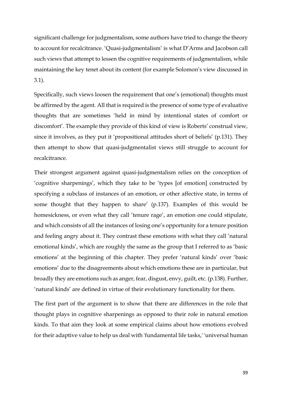significant challenge for judgmentalism, some authors have tried to change the theory to account for recalcitrance. 'Quasi-judgmentalism' is what D'Arms and Jacobson call such views that attempt to lessen the cognitive requirements of judgmentalism, while maintaining the key tenet about its content (for example Solomon's view discussed in 3.1).

Specifically, such views loosen the requirement that one's (emotional) thoughts must be affirmed by the agent. All that is required is the presence of some type of evaluative thoughts that are sometimes 'held in mind by intentional states of comfort or discomfort'. The example they provide of this kind of view is Roberts' construal view, since it involves, as they put it 'propositional attitudes short of beliefs' (p.131). They then attempt to show that quasi-judgmentalist views still struggle to account for recalcitrance.

Their strongest argument against quasi-judgmentalism relies on the conception of 'cognitive sharpenings', which they take to be 'types [of emotion] constructed by specifying a subclass of instances of an emotion, or other affective state, in terms of some thought that they happen to share' (p.137). Examples of this would be homesickness, or even what they call 'tenure rage', an emotion one could stipulate, and which consists of all the instances of losing one's opportunity for a tenure position and feeling angry about it. They contrast these emotions with what they call 'natural emotional kinds', which are roughly the same as the group that I referred to as 'basic emotions' at the beginning of this chapter. They prefer 'natural kinds' over 'basic emotions' due to the disagreements about which emotions these are in particular, but broadly they are emotions such as anger, fear, disgust, envy, guilt, etc. (p.138). Further, 'natural kinds' are defined in virtue of their evolutionary functionality for them.

The first part of the argument is to show that there are differences in the role that thought plays in cognitive sharpenings as opposed to their role in natural emotion kinds. To that aim they look at some empirical claims about how emotions evolved for their adaptive value to help us deal with 'fundamental life tasks,' 'universal human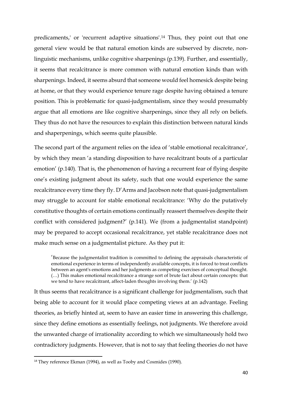predicaments,' or 'recurrent adaptive situations'.<sup>14</sup> Thus, they point out that one general view would be that natural emotion kinds are subserved by discrete, nonlinguistic mechanisms, unlike cognitive sharpenings (p.139). Further, and essentially, it seems that recalcitrance is more common with natural emotion kinds than with sharpenings. Indeed, it seems absurd that someone would feel homesick despite being at home, or that they would experience tenure rage despite having obtained a tenure position. This is problematic for quasi-judgmentalism, since they would presumably argue that all emotions are like cognitive sharpenings, since they all rely on beliefs. They thus do not have the resources to explain this distinction between natural kinds and shaperpenings, which seems quite plausible.

The second part of the argument relies on the idea of 'stable emotional recalcitrance', by which they mean 'a standing disposition to have recalcitrant bouts of a particular emotion' (p.140). That is, the phenomenon of having a recurrent fear of flying despite one's existing judgment about its safety, such that one would experience the same recalcitrance every time they fly. D'Arms and Jacobson note that quasi-judgmentalism may struggle to account for stable emotional recalcitrance: 'Why do the putatively constitutive thoughts of certain emotions continually reassert themselves despite their conflict with considered judgment?' (p.141). We (from a judgmentalist standpoint) may be prepared to accept occasional recalcitrance, yet stable recalcitrance does not make much sense on a judgmentalist picture. As they put it:

'Because the judgmentalist tradition is committed to defining the appraisals characteristic of emotional experience in terms of independently available concepts, it is forced to treat conflicts between an agent's emotions and her judgments as competing exercises of conceptual thought. (…) This makes emotional recalcitrance a strange sort of brute fact about certain concepts: that we tend to have recalcitrant, affect-laden thoughts involving them.' (p.142)

It thus seems that recalcitrance is a significant challenge for judgmentalism, such that being able to account for it would place competing views at an advantage. Feeling theories, as briefly hinted at, seem to have an easier time in answering this challenge, since they define emotions as essentially feelings, not judgments. We therefore avoid the unwanted charge of irrationality according to which we simultaneously hold two contradictory judgments. However, that is not to say that feeling theories do not have

<sup>&</sup>lt;sup>14</sup> They reference Ekman (1994), as well as Tooby and Cosmides (1990).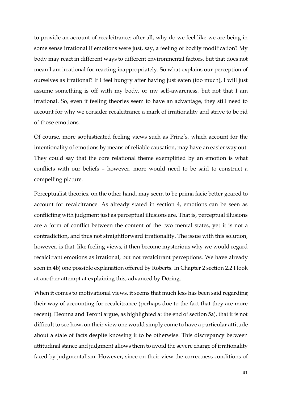to provide an account of recalcitrance: after all, why do we feel like we are being in some sense irrational if emotions were just, say, a feeling of bodily modification? My body may react in different ways to different environmental factors, but that does not mean I am irrational for reacting inappropriately. So what explains our perception of ourselves as irrational? If I feel hungry after having just eaten (too much), I will just assume something is off with my body, or my self-awareness, but not that I am irrational. So, even if feeling theories seem to have an advantage, they still need to account for why we consider recalcitrance a mark of irrationality and strive to be rid of those emotions.

Of course, more sophisticated feeling views such as Prinz's, which account for the intentionality of emotions by means of reliable causation, may have an easier way out. They could say that the core relational theme exemplified by an emotion is what conflicts with our beliefs – however, more would need to be said to construct a compelling picture.

Perceptualist theories, on the other hand, may seem to be prima facie better geared to account for recalcitrance. As already stated in section 4, emotions can be seen as conflicting with judgment just as perceptual illusions are. That is, perceptual illusions are a form of conflict between the content of the two mental states, yet it is not a contradiction, and thus not straightforward irrationality. The issue with this solution, however, is that, like feeling views, it then become mysterious why we would regard recalcitrant emotions as irrational, but not recalcitrant perceptions. We have already seen in 4b) one possible explanation offered by Roberts. In Chapter 2 section 2.2 I look at another attempt at explaining this, advanced by Döring.

When it comes to motivational views, it seems that much less has been said regarding their way of accounting for recalcitrance (perhaps due to the fact that they are more recent). Deonna and Teroni argue, as highlighted at the end of section 5a), that it is not difficult to see how, on their view one would simply come to have a particular attitude about a state of facts despite knowing it to be otherwise. This discrepancy between attitudinal stance and judgment allows them to avoid the severe charge of irrationality faced by judgmentalism. However, since on their view the correctness conditions of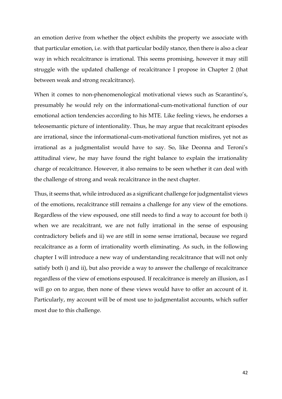an emotion derive from whether the object exhibits the property we associate with that particular emotion, i.e. with that particular bodily stance, then there is also a clear way in which recalcitrance is irrational. This seems promising, however it may still struggle with the updated challenge of recalcitrance I propose in Chapter 2 (that between weak and strong recalcitrance).

When it comes to non-phenomenological motivational views such as Scarantino's, presumably he would rely on the informational-cum-motivational function of our emotional action tendencies according to his MTE. Like feeling views, he endorses a teleosemantic picture of intentionality. Thus, he may argue that recalcitrant episodes are irrational, since the informational-cum-motivational function misfires, yet not as irrational as a judgmentalist would have to say. So, like Deonna and Teroni's attitudinal view, he may have found the right balance to explain the irrationality charge of recalcitrance. However, it also remains to be seen whether it can deal with the challenge of strong and weak recalcitrance in the next chapter.

Thus, it seems that, while introduced as a significant challenge for judgmentalist views of the emotions, recalcitrance still remains a challenge for any view of the emotions. Regardless of the view espoused, one still needs to find a way to account for both i) when we are recalcitrant, we are not fully irrational in the sense of espousing contradictory beliefs and ii) we are still in some sense irrational, because we regard recalcitrance as a form of irrationality worth eliminating. As such, in the following chapter I will introduce a new way of understanding recalcitrance that will not only satisfy both i) and ii), but also provide a way to answer the challenge of recalcitrance regardless of the view of emotions espoused. If recalcitrance is merely an illusion, as I will go on to argue, then none of these views would have to offer an account of it. Particularly, my account will be of most use to judgmentalist accounts, which suffer most due to this challenge.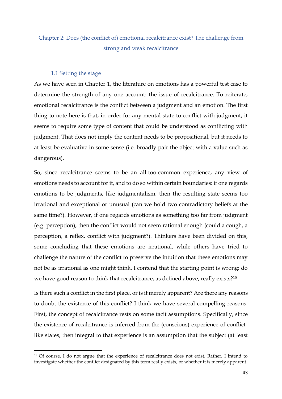# Chapter 2: Does (the conflict of) emotional recalcitrance exist? The challenge from strong and weak recalcitrance

# 1.1 Setting the stage

As we have seen in Chapter 1, the literature on emotions has a powerful test case to determine the strength of any one account: the issue of recalcitrance. To reiterate, emotional recalcitrance is the conflict between a judgment and an emotion. The first thing to note here is that, in order for any mental state to conflict with judgment, it seems to require some type of content that could be understood as conflicting with judgment. That does not imply the content needs to be propositional, but it needs to at least be evaluative in some sense (i.e. broadly pair the object with a value such as dangerous).

So, since recalcitrance seems to be an all-too-common experience, any view of emotions needs to account for it, and to do so within certain boundaries: if one regards emotions to be judgments, like judgmentalism, then the resulting state seems too irrational and exceptional or unusual (can we hold two contradictory beliefs at the same time?). However, if one regards emotions as something too far from judgment (e.g. perception), then the conflict would not seem rational enough (could a cough, a perception, a reflex, conflict with judgment?). Thinkers have been divided on this, some concluding that these emotions are irrational, while others have tried to challenge the nature of the conflict to preserve the intuition that these emotions may not be as irrational as one might think. I contend that the starting point is wrong: do we have good reason to think that recalcitrance, as defined above, really exists?<sup>15</sup>

Is there such a conflict in the first place, or is it merely apparent? Are there any reasons to doubt the existence of this conflict? I think we have several compelling reasons. First, the concept of recalcitrance rests on some tacit assumptions. Specifically, since the existence of recalcitrance is inferred from the (conscious) experience of conflictlike states, then integral to that experience is an assumption that the subject (at least

<sup>&</sup>lt;sup>15</sup> Of course, I do not argue that the experience of recalcitrance does not exist. Rather, I intend to investigate whether the conflict designated by this term really exists, or whether it is merely apparent.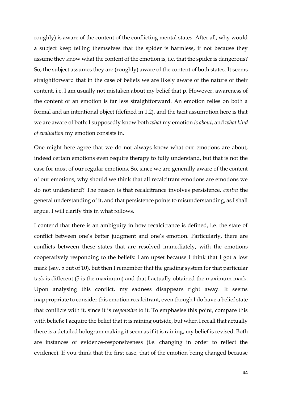roughly) is aware of the content of the conflicting mental states. After all, why would a subject keep telling themselves that the spider is harmless, if not because they assume they know what the content of the emotion is, i.e. that the spider is dangerous? So, the subject assumes they are (roughly) aware of the content of both states. It seems straightforward that in the case of beliefs we are likely aware of the nature of their content, i.e. I am usually not mistaken about my belief that p. However, awareness of the content of an emotion is far less straightforward. An emotion relies on both a formal and an intentional object (defined in 1.2), and the tacit assumption here is that we are aware of both: I supposedly know both *what* my emotion *is about*, and *what kind of evaluation* my emotion consists in.

One might here agree that we do not always know what our emotions are about, indeed certain emotions even require therapy to fully understand, but that is not the case for most of our regular emotions. So, since we are generally aware of the content of our emotions, why should we think that all recalcitrant emotions are emotions we do not understand? The reason is that recalcitrance involves persistence, *contra* the general understanding of it, and that persistence points to misunderstanding, as I shall argue. I will clarify this in what follows.

I contend that there is an ambiguity in how recalcitrance is defined, i.e. the state of conflict between one's better judgment and one's emotion. Particularly, there are conflicts between these states that are resolved immediately, with the emotions cooperatively responding to the beliefs: I am upset because I think that I got a low mark (say, 5 out of 10), but then I remember that the grading system for that particular task is different (5 is the maximum) and that I actually obtained the maximum mark. Upon analysing this conflict, my sadness disappears right away. It seems inappropriate to consider this emotion recalcitrant, even though I do have a belief state that conflicts with it, since it is *responsive* to it. To emphasise this point, compare this with beliefs: I acquire the belief that it is raining outside, but when I recall that actually there is a detailed hologram making it seem as if it is raining, my belief is revised. Both are instances of evidence-responsiveness (i.e. changing in order to reflect the evidence). If you think that the first case, that of the emotion being changed because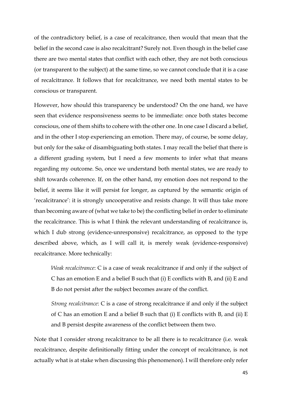of the contradictory belief, is a case of recalcitrance, then would that mean that the belief in the second case is also recalcitrant? Surely not. Even though in the belief case there are two mental states that conflict with each other, they are not both conscious (or transparent to the subject) at the same time, so we cannot conclude that it is a case of recalcitrance. It follows that for recalcitrance, we need both mental states to be conscious or transparent.

However, how should this transparency be understood? On the one hand, we have seen that evidence responsiveness seems to be immediate: once both states become conscious, one of them shifts to cohere with the other one. In one case I discard a belief, and in the other I stop experiencing an emotion. There may, of course, be some delay, but only for the sake of disambiguating both states. I may recall the belief that there is a different grading system, but I need a few moments to infer what that means regarding my outcome. So, once we understand both mental states, we are ready to shift towards coherence. If, on the other hand, my emotion does not respond to the belief, it seems like it will persist for longer, as captured by the semantic origin of 'recalcitrance': it is strongly uncooperative and resists change. It will thus take more than becoming aware of (what we take to be) the conflicting belief in order to eliminate the recalcitrance. This is what I think the relevant understanding of recalcitrance is, which I dub strong (evidence-unresponsive) recalcitrance, as opposed to the type described above, which, as I will call it, is merely weak (evidence-responsive) recalcitrance. More technically:

*Weak recalcitrance*: C is a case of weak recalcitrance if and only if the subject of C has an emotion E and a belief B such that (i) E conflicts with B, and (ii) E and B do not persist after the subject becomes aware of the conflict.

*Strong recalcitrance*: C is a case of strong recalcitrance if and only if the subject of C has an emotion E and a belief B such that (i) E conflicts with B, and (ii) E and B persist despite awareness of the conflict between them two.

Note that I consider strong recalcitrance to be all there is to recalcitrance (i.e. weak recalcitrance, despite definitionally fitting under the concept of recalcitrance, is not actually what is at stake when discussing this phenomenon). I will therefore only refer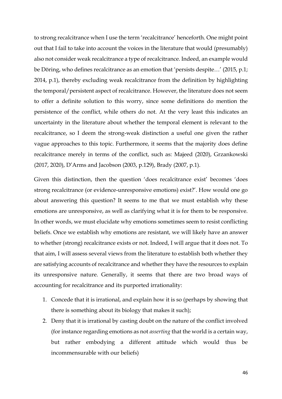to strong recalcitrance when I use the term 'recalcitrance' henceforth. One might point out that I fail to take into account the voices in the literature that would (presumably) also not consider weak recalcitrance a type of recalcitrance. Indeed, an example would be Döring, who defines recalcitrance as an emotion that 'persists despite…' (2015, p.1; 2014, p.1), thereby excluding weak recalcitrance from the definition by highlighting the temporal/persistent aspect of recalcitrance. However, the literature does not seem to offer a definite solution to this worry, since some definitions do mention the persistence of the conflict, while others do not. At the very least this indicates an uncertainty in the literature about whether the temporal element is relevant to the recalcitrance, so I deem the strong-weak distinction a useful one given the rather vague approaches to this topic. Furthermore, it seems that the majority does define recalcitrance merely in terms of the conflict, such as: Majeed (2020), Grzankowski (2017, 2020), D'Arms and Jacobson (2003, p.129), Brady (2007, p.1).

Given this distinction, then the question 'does recalcitrance exist' becomes 'does strong recalcitrance (or evidence-unresponsive emotions) exist?'. How would one go about answering this question? It seems to me that we must establish why these emotions are unresponsive, as well as clarifying what it is for them to be responsive. In other words, we must elucidate why emotions sometimes seem to resist conflicting beliefs. Once we establish why emotions are resistant, we will likely have an answer to whether (strong) recalcitrance exists or not. Indeed, I will argue that it does not. To that aim, I will assess several views from the literature to establish both whether they are satisfying accounts of recalcitrance and whether they have the resources to explain its unresponsive nature. Generally, it seems that there are two broad ways of accounting for recalcitrance and its purported irrationality:

- 1. Concede that it is irrational, and explain how it is so (perhaps by showing that there is something about its biology that makes it such);
- 2. Deny that it is irrational by casting doubt on the nature of the conflict involved (for instance regarding emotions as not *asserting* that the world is a certain way, but rather embodying a different attitude which would thus be incommensurable with our beliefs)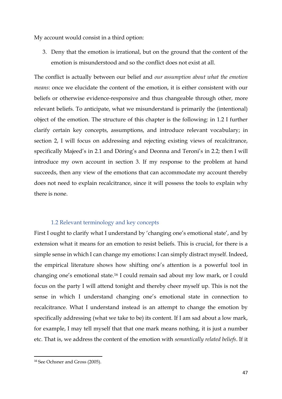My account would consist in a third option:

3. Deny that the emotion is irrational, but on the ground that the content of the emotion is misunderstood and so the conflict does not exist at all.

The conflict is actually between our belief and *our assumption about what the emotion means*: once we elucidate the content of the emotion, it is either consistent with our beliefs or otherwise evidence-responsive and thus changeable through other, more relevant beliefs. To anticipate, what we misunderstand is primarily the (intentional) object of the emotion. The structure of this chapter is the following: in 1.2 I further clarify certain key concepts, assumptions, and introduce relevant vocabulary; in section 2, I will focus on addressing and rejecting existing views of recalcitrance, specifically Majeed's in 2.1 and Döring's and Deonna and Teroni's in 2.2; then I will introduce my own account in section 3. If my response to the problem at hand succeeds, then any view of the emotions that can accommodate my account thereby does not need to explain recalcitrance, since it will possess the tools to explain why there is none.

## 1.2 Relevant terminology and key concepts

First I ought to clarify what I understand by 'changing one's emotional state', and by extension what it means for an emotion to resist beliefs. This is crucial, for there is a simple sense in which I can change my emotions: I can simply distract myself. Indeed, the empirical literature shows how shifting one's attention is a powerful tool in changing one's emotional state.<sup>16</sup> I could remain sad about my low mark, or I could focus on the party I will attend tonight and thereby cheer myself up. This is not the sense in which I understand changing one's emotional state in connection to recalcitrance. What I understand instead is an attempt to change the emotion by specifically addressing (what we take to be) its content. If I am sad about a low mark, for example, I may tell myself that that one mark means nothing, it is just a number etc. That is, we address the content of the emotion with *semantically related beliefs*. If it

<sup>16</sup> See Ochsner and Gross (2005).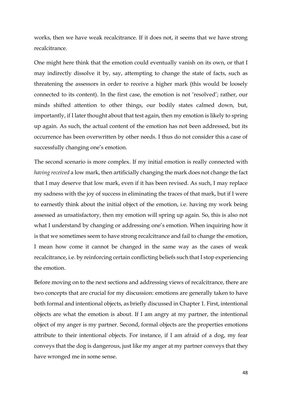works, then we have weak recalcitrance. If it does not, it seems that we have strong recalcitrance.

One might here think that the emotion could eventually vanish on its own, or that I may indirectly dissolve it by, say, attempting to change the state of facts, such as threatening the assessors in order to receive a higher mark (this would be loosely connected to its content). In the first case, the emotion is not 'resolved'; rather, our minds shifted attention to other things, our bodily states calmed down, but, importantly, if I later thought about that test again, then my emotion is likely to spring up again. As such, the actual content of the emotion has not been addressed, but its occurrence has been overwritten by other needs. I thus do not consider this a case of successfully changing one's emotion.

The second scenario is more complex. If my initial emotion is really connected with *having received* a low mark, then artificially changing the mark does not change the fact that I may deserve that low mark, even if it has been revised. As such, I may replace my sadness with the joy of success in eliminating the traces of that mark, but if I were to earnestly think about the initial object of the emotion, i.e. having my work being assessed as unsatisfactory, then my emotion will spring up again. So, this is also not what I understand by changing or addressing one's emotion. When inquiring how it is that we sometimes seem to have strong recalcitrance and fail to change the emotion, I mean how come it cannot be changed in the same way as the cases of weak recalcitrance, i.e. by reinforcing certain conflicting beliefs such that I stop experiencing the emotion.

Before moving on to the next sections and addressing views of recalcitrance, there are two concepts that are crucial for my discussion: emotions are generally taken to have both formal and intentional objects, as briefly discussed in Chapter 1. First, intentional objects are what the emotion is about. If I am angry at my partner, the intentional object of my anger is my partner. Second, formal objects are the properties emotions attribute to their intentional objects. For instance, if I am afraid of a dog, my fear conveys that the dog is dangerous, just like my anger at my partner conveys that they have wronged me in some sense.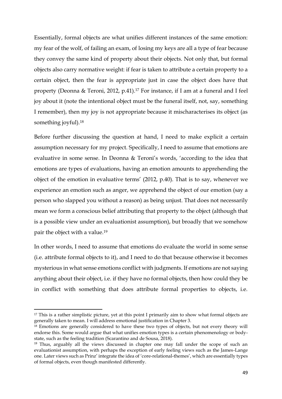Essentially, formal objects are what unifies different instances of the same emotion: my fear of the wolf, of failing an exam, of losing my keys are all a type of fear because they convey the same kind of property about their objects. Not only that, but formal objects also carry normative weight: if fear is taken to attribute a certain property to a certain object, then the fear is appropriate just in case the object does have that property (Deonna & Teroni, 2012, p.41).<sup>17</sup> For instance, if I am at a funeral and I feel joy about it (note the intentional object must be the funeral itself, not, say, something I remember), then my joy is not appropriate because it mischaracterises its object (as something joyful).<sup>18</sup>

Before further discussing the question at hand, I need to make explicit a certain assumption necessary for my project. Specifically, I need to assume that emotions are evaluative in some sense. In Deonna & Teroni's words, 'according to the idea that emotions are types of evaluations, having an emotion amounts to apprehending the object of the emotion in evaluative terms' (2012, p.40). That is to say, whenever we experience an emotion such as anger, we apprehend the object of our emotion (say a person who slapped you without a reason) as being unjust. That does not necessarily mean we form a conscious belief attributing that property to the object (although that is a possible view under an evaluationist assumption), but broadly that we somehow pair the object with a value.<sup>19</sup>

In other words, I need to assume that emotions do evaluate the world in some sense (i.e. attribute formal objects to it), and I need to do that because otherwise it becomes mysterious in what sense emotions conflict with judgments. If emotions are not saying anything about their object, i.e. if they have no formal objects, then how could they be in conflict with something that does attribute formal properties to objects, i.e.

<sup>&</sup>lt;sup>17</sup> This is a rather simplistic picture, yet at this point I primarily aim to show what formal objects are generally taken to mean. I will address emotional justification in Chapter 3.

<sup>&</sup>lt;sup>18</sup> Emotions are generally considered to have these two types of objects, but not every theory will endorse this. Some would argue that what unifies emotion types is a certain phenomenology or bodystate, such as the feeling tradition (Scarantino and de Sousa, 2018).

<sup>&</sup>lt;sup>19</sup> Thus, arguably all the views discussed in chapter one may fall under the scope of such an evaluationist assumption, with perhaps the exception of early feeling views such as the James-Lange one. Later views such as Prinz' integrate the idea of 'core-relational-themes', which are essentially types of formal objects, even though manifested differently.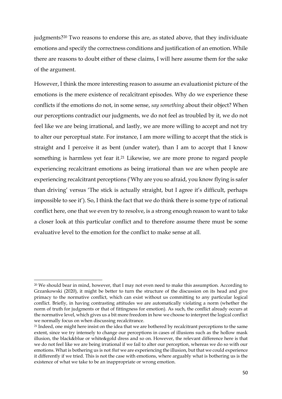judgments?<sup>20</sup> Two reasons to endorse this are, as stated above, that they individuate emotions and specify the correctness conditions and justification of an emotion. While there are reasons to doubt either of these claims, I will here assume them for the sake of the argument.

However, I think the more interesting reason to assume an evaluationist picture of the emotions is the mere existence of recalcitrant episodes. Why do we experience these conflicts if the emotions do not, in some sense, *say something* about their object? When our perceptions contradict our judgments, we do not feel as troubled by it, we do not feel like we are being irrational, and lastly, we are more willing to accept and not try to alter our perceptual state. For instance, I am more willing to accept that the stick is straight and I perceive it as bent (under water), than I am to accept that I know something is harmless yet fear it.<sup>21</sup> Likewise, we are more prone to regard people experiencing recalcitrant emotions as being irrational than we are when people are experiencing recalcitrant perceptions ('Why are you so afraid, you know flying is safer than driving' versus 'The stick is actually straight, but I agree it's difficult, perhaps impossible to see it'). So, I think the fact that we do think there is some type of rational conflict here, one that we even try to resolve, is a strong enough reason to want to take a closer look at this particular conflict and to therefore assume there must be some evaluative level to the emotion for the conflict to make sense at all.

 $20$  We should bear in mind, however, that I may not even need to make this assumption. According to Grzankowski (2020), it might be better to turn the structure of the discussion on its head and give primacy to the normative conflict, which can exist without us committing to any particular logical conflict. Briefly, in having contrasting attitudes we are automatically violating a norm (whether the norm of truth for judgments or that of fittingness for emotion). As such, the conflict already occurs at the normative level, which gives us a bit more freedom in how we choose to interpret the logical conflict we normally focus on when discussing recalcitrance.

<sup>&</sup>lt;sup>21</sup> Indeed, one might here insist on the idea that we are bothered by recalcitrant perceptions to the same extent, since we try intensely to change our perceptions in cases of illusions such as the hollow mask illusion, the black&blue or white&gold dress and so on. However, the relevant difference here is that we do not feel like we are being irrational if we fail to alter our perception, whereas we do so with our emotions. What is bothering us is not *that* we are experiencing the illusion, but that we could experience it differently if we tried. This is not the case with emotions, where arguably what is bothering us is the existence of what we take to be an inappropriate or wrong emotion.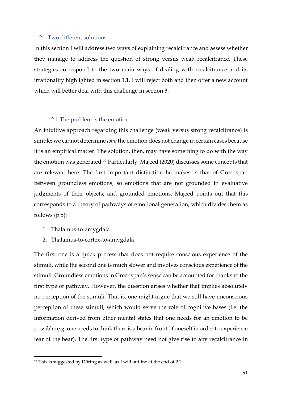# 2. Two different solutions

In this section I will address two ways of explaining recalcitrance and assess whether they manage to address the question of strong versus weak recalcitrance. These strategies correspond to the two main ways of dealing with recalcitrance and its irrationality highlighted in section 1.1. I will reject both and then offer a new account which will better deal with this challenge in section 3.

# 2.1 The problem is the emotion

An intuitive approach regarding this challenge (weak versus strong recalcitrance) is simple: we cannot determine *why* the emotion does not change in certain cases because it is an empirical matter. The solution, then, may have something to do with the way the emotion was generated.<sup>22</sup> Particularly, Majeed (2020) discusses some concepts that are relevant here. The first important distinction he makes is that of Greenspan between groundless emotions, so emotions that are not grounded in evaluative judgments of their objects, and grounded emotions. Majeed points out that this corresponds to a theory of pathways of emotional generation, which divides them as follows (p.5):

- 1. Thalamus-to-amygdala
- 2. Thalamus-to-cortex-to-amygdala

The first one is a quick process that does not require conscious experience of the stimuli, while the second one is much slower and involves conscious experience of the stimuli. Groundless emotions in Greenspan's sense can be accounted for thanks to the first type of pathway. However, the question arises whether that implies absolutely no perception of the stimuli. That is, one might argue that we still have unconscious perception of these stimuli, which would serve the role of cognitive bases (i.e. the information derived from other mental states that one needs for an emotion to be possible; e.g. one needs to think there is a bear in front of oneself in order to experience fear of the bear). The first type of pathway need not give rise to any recalcitrance in

<sup>22</sup> This is suggested by Döring as well, as I will outline at the end of 2.2.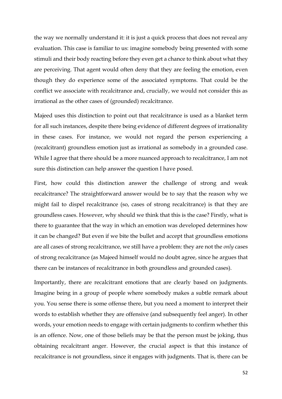the way we normally understand it: it is just a quick process that does not reveal any evaluation. This case is familiar to us: imagine somebody being presented with some stimuli and their body reacting before they even get a chance to think about what they are perceiving. That agent would often deny that they are feeling the emotion, even though they do experience some of the associated symptoms. That could be the conflict we associate with recalcitrance and, crucially, we would not consider this as irrational as the other cases of (grounded) recalcitrance.

Majeed uses this distinction to point out that recalcitrance is used as a blanket term for all such instances, despite there being evidence of different degrees of irrationality in these cases. For instance, we would not regard the person experiencing a (recalcitrant) groundless emotion just as irrational as somebody in a grounded case. While I agree that there should be a more nuanced approach to recalcitrance, I am not sure this distinction can help answer the question I have posed.

First, how could this distinction answer the challenge of strong and weak recalcitrance? The straightforward answer would be to say that the reason why we might fail to dispel recalcitrance (so, cases of strong recalcitrance) is that they are groundless cases. However, why should we think that this is the case? Firstly, what is there to guarantee that the way in which an emotion was developed determines how it can be changed? But even if we bite the bullet and accept that groundless emotions are all cases of strong recalcitrance, we still have a problem: they are not the *only* cases of strong recalcitrance (as Majeed himself would no doubt agree, since he argues that there can be instances of recalcitrance in both groundless and grounded cases).

Importantly, there are recalcitrant emotions that are clearly based on judgments. Imagine being in a group of people where somebody makes a subtle remark about you. You sense there is some offense there, but you need a moment to interpret their words to establish whether they are offensive (and subsequently feel anger). In other words, your emotion needs to engage with certain judgments to confirm whether this is an offence. Now, one of those beliefs may be that the person must be joking, thus obtaining recalcitrant anger. However, the crucial aspect is that this instance of recalcitrance is not groundless, since it engages with judgments. That is, there can be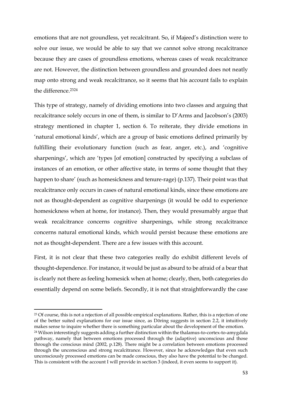emotions that are not groundless, yet recalcitrant. So, if Majeed's distinction were to solve our issue, we would be able to say that we cannot solve strong recalcitrance because they are cases of groundless emotions, whereas cases of weak recalcitrance are not. However, the distinction between groundless and grounded does not neatly map onto strong and weak recalcitrance, so it seems that his account fails to explain the difference.<sup>2324</sup>

This type of strategy, namely of dividing emotions into two classes and arguing that recalcitrance solely occurs in one of them, is similar to D'Arms and Jacobson's (2003) strategy mentioned in chapter 1, section 6. To reiterate, they divide emotions in 'natural emotional kinds', which are a group of basic emotions defined primarily by fulfilling their evolutionary function (such as fear, anger, etc.), and 'cognitive sharpenings', which are 'types [of emotion] constructed by specifying a subclass of instances of an emotion, or other affective state, in terms of some thought that they happen to share' (such as homesickness and tenure-rage) (p.137). Their point was that recalcitrance only occurs in cases of natural emotional kinds, since these emotions are not as thought-dependent as cognitive sharpenings (it would be odd to experience homesickness when at home, for instance). Then, they would presumably argue that weak recalcitrance concerns cognitive sharpenings, while strong recalcitrance concerns natural emotional kinds, which would persist because these emotions are not as thought-dependent. There are a few issues with this account.

First, it is not clear that these two categories really do exhibit different levels of thought-dependence. For instance, it would be just as absurd to be afraid of a bear that is clearly not there as feeling homesick when at home; clearly, then, both categories do essentially depend on some beliefs. Secondly, it is not that straightforwardly the case

<sup>&</sup>lt;sup>23</sup> Of course, this is not a rejection of all possible empirical explanations. Rather, this is a rejection of one of the better suited explanations for our issue since, as Döring suggests in section 2.2, it intuitively makes sense to inquire whether there is something particular about the development of the emotion. <sup>24</sup> Wilson interestingly suggests adding a further distinction within the thalamus-to-cortex-to-amygdala pathway, namely that between emotions processed through the (adaptive) unconscious and those through the conscious mind (2002, p.128). There might be a correlation between emotions processed through the unconscious and strong recalcitrance. However, since he acknowledges that even such unconsciously processed emotions can be made conscious, they also have the potential to be changed. This is consistent with the account I will provide in section 3 (indeed, it even seems to support it).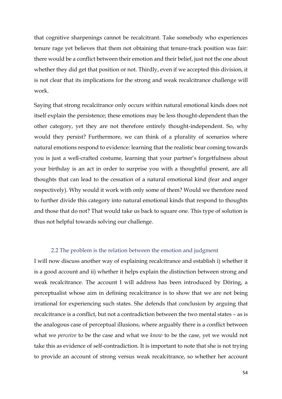that cognitive sharpenings cannot be recalcitrant. Take somebody who experiences tenure rage yet believes that them not obtaining that tenure-track position was fair: there would be a conflict between their emotion and their belief, just not the one about whether they did get that position or not. Thirdly, even if we accepted this division, it is not clear that its implications for the strong and weak recalcitrance challenge will work.

Saying that strong recalcitrance only occurs within natural emotional kinds does not itself explain the persistence; these emotions may be less thought-dependent than the other category, yet they are not therefore entirely thought-independent. So, why would they persist? Furthermore, we can think of a plurality of scenarios where natural emotions respond to evidence: learning that the realistic bear coming towards you is just a well-crafted costume, learning that your partner's forgetfulness about your birthday is an act in order to surprise you with a thoughtful present, are all thoughts that can lead to the cessation of a natural emotional kind (fear and anger respectively). Why would it work with only some of them? Would we therefore need to further divide this category into natural emotional kinds that respond to thoughts and those that do not? That would take us back to square one. This type of solution is thus not helpful towards solving our challenge.

# 2.2 The problem is the relation between the emotion and judgment

I will now discuss another way of explaining recalcitrance and establish i) whether it is a good account and ii) whether it helps explain the distinction between strong and weak recalcitrance. The account I will address has been introduced by Döring, a perceptualist whose aim in defining recalcitrance is to show that we are not being irrational for experiencing such states. She defends that conclusion by arguing that recalcitrance is a conflict, but not a contradiction between the two mental states – as is the analogous case of perceptual illusions, where arguably there is a conflict between what we *perceive* to be the case and what we *know* to be the case, yet we would not take this as evidence of self-contradiction. It is important to note that she is not trying to provide an account of strong versus weak recalcitrance, so whether her account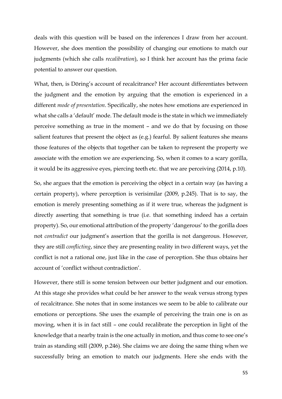deals with this question will be based on the inferences I draw from her account. However, she does mention the possibility of changing our emotions to match our judgments (which she calls *recalibration*), so I think her account has the prima facie potential to answer our question.

What, then, is Döring's account of recalcitrance? Her account differentiates between the judgment and the emotion by arguing that the emotion is experienced in a different *mode of presentation*. Specifically, she notes how emotions are experienced in what she calls a 'default' mode. The default mode is the state in which we immediately perceive something as true in the moment – and we do that by focusing on those salient features that present the object as (e.g.) fearful. By salient features she means those features of the objects that together can be taken to represent the property we associate with the emotion we are experiencing. So, when it comes to a scary gorilla, it would be its aggressive eyes, piercing teeth etc. that we are perceiving (2014, p.10).

So, she argues that the emotion is perceiving the object in a certain way (as having a certain property), where perception is verisimilar (2009, p.245). That is to say, the emotion is merely presenting something as if it were true, whereas the judgment is directly asserting that something is true (i.e. that something indeed has a certain property). So, our emotional attribution of the property 'dangerous' to the gorilla does not *contradict* our judgment's assertion that the gorilla is not dangerous. However, they are still *conflicting*, since they are presenting reality in two different ways, yet the conflict is not a rational one, just like in the case of perception. She thus obtains her account of 'conflict without contradiction'.

However, there still is some tension between our better judgment and our emotion. At this stage she provides what could be her answer to the weak versus strong types of recalcitrance. She notes that in some instances we seem to be able to calibrate our emotions or perceptions. She uses the example of perceiving the train one is on as moving, when it is in fact still – one could recalibrate the perception in light of the knowledge that a nearby train is the one actually in motion, and thus come to see one's train as standing still (2009, p.246). She claims we are doing the same thing when we successfully bring an emotion to match our judgments. Here she ends with the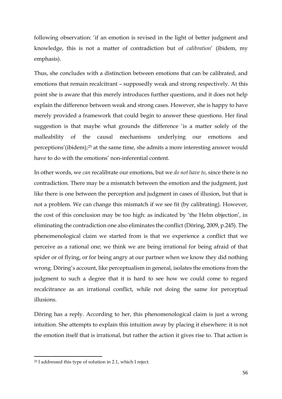following observation: 'if an emotion is revised in the light of better judgment and knowledge, this is not a matter of contradiction but of *calibration*' (ibidem, my emphasis).

Thus, she concludes with a distinction between emotions that can be calibrated, and emotions that remain recalcitrant – supposedly weak and strong respectively. At this point she is aware that this merely introduces further questions, and it does not help explain the difference between weak and strong cases. However, she is happy to have merely provided a framework that could begin to answer these questions. Her final suggestion is that maybe what grounds the difference 'is a matter solely of the malleability of the causal mechanisms underlying our emotions and perceptions'(ibidem);<sup>25</sup> at the same time, she admits a more interesting answer would have to do with the emotions' non-inferential content.

In other words, we *can* recalibrate our emotions, but we *do not have to*, since there is no contradiction. There may be a mismatch between the emotion and the judgment, just like there is one between the perception and judgment in cases of illusion, but that is not a problem. We can change this mismatch if we see fit (by calibrating). However, the cost of this conclusion may be too high: as indicated by 'the Helm objection', in eliminating the contradiction one also eliminates the conflict (Döring, 2009, p.245). The phenomenological claim we started from is that we experience a conflict that we perceive as a rational one; we think we are being irrational for being afraid of that spider or of flying, or for being angry at our partner when we know they did nothing wrong. Döring's account, like perceptualism in general, isolates the emotions from the judgment to such a degree that it is hard to see how we could come to regard recalcitrance as an irrational conflict, while not doing the same for perceptual illusions.

Döring has a reply. According to her, this phenomenological claim is just a wrong intuition. She attempts to explain this intuition away by placing it elsewhere: it is not the emotion itself that is irrational, but rather the action it gives rise to. That action is

<sup>25</sup> I addressed this type of solution in 2.1, which I reject.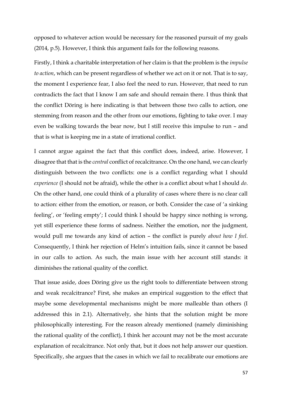opposed to whatever action would be necessary for the reasoned pursuit of my goals (2014, p.5). However, I think this argument fails for the following reasons.

Firstly, I think a charitable interpretation of her claim is that the problem is the *impulse to action*, which can be present regardless of whether we act on it or not. That is to say, the moment I experience fear, I also feel the need to run. However, that need to run contradicts the fact that I know I am safe and should remain there. I thus think that the conflict Döring is here indicating is that between those two calls to action, one stemming from reason and the other from our emotions, fighting to take over. I may even be walking towards the bear now, but I still receive this impulse to run – and that is what is keeping me in a state of irrational conflict.

I cannot argue against the fact that this conflict does, indeed, arise. However, I disagree that that is the *central* conflict of recalcitrance. On the one hand, we can clearly distinguish between the two conflicts: one is a conflict regarding what I should *experience* (I should not be afraid), while the other is a conflict about what I should *do*. On the other hand, one could think of a plurality of cases where there is no clear call to action: either from the emotion, or reason, or both. Consider the case of 'a sinking feeling', or 'feeling empty'; I could think I should be happy since nothing is wrong, yet still experience these forms of sadness. Neither the emotion, nor the judgment, would pull me towards any kind of action – the conflict is purely *about how I feel*. Consequently, I think her rejection of Helm's intuition fails, since it cannot be based in our calls to action. As such, the main issue with her account still stands: it diminishes the rational quality of the conflict.

That issue aside, does Döring give us the right tools to differentiate between strong and weak recalcitrance? First, she makes an empirical suggestion to the effect that maybe some developmental mechanisms might be more malleable than others (I addressed this in 2.1). Alternatively, she hints that the solution might be more philosophically interesting. For the reason already mentioned (namely diminishing the rational quality of the conflict), I think her account may not be the most accurate explanation of recalcitrance. Not only that, but it does not help answer our question. Specifically, she argues that the cases in which we fail to recalibrate our emotions are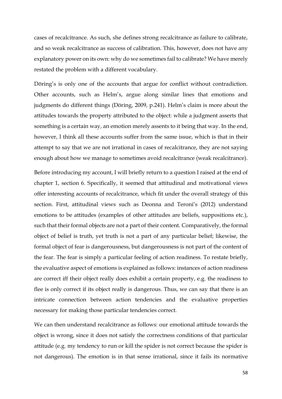cases of recalcitrance. As such, she defines strong recalcitrance as failure to calibrate, and so weak recalcitrance as success of calibration. This, however, does not have any explanatory power on its own: why do we sometimes fail to calibrate? We have merely restated the problem with a different vocabulary.

Döring's is only one of the accounts that argue for conflict without contradiction. Other accounts, such as Helm's, argue along similar lines that emotions and judgments do different things (Döring, 2009, p.241). Helm's claim is more about the attitudes towards the property attributed to the object: while a judgment asserts that something is a certain way, an emotion merely assents to it being that way. In the end, however, I think all these accounts suffer from the same issue, which is that in their attempt to say that we are not irrational in cases of recalcitrance, they are not saying enough about how we manage to sometimes avoid recalcitrance (weak recalcitrance).

Before introducing my account, I will briefly return to a question I raised at the end of chapter 1, section 6. Specifically, it seemed that attitudinal and motivational views offer interesting accounts of recalcitrance, which fit under the overall strategy of this section. First, attitudinal views such as Deonna and Teroni's (2012) understand emotions to be attitudes (examples of other attitudes are beliefs, suppositions etc.), such that their formal objects are not a part of their content. Comparatively, the formal object of belief is truth, yet truth is not a part of any particular belief; likewise, the formal object of fear is dangerousness, but dangerousness is not part of the content of the fear. The fear is simply a particular feeling of action readiness. To restate briefly, the evaluative aspect of emotions is explained as follows: instances of action readiness are correct iff their object really does exhibit a certain property, e.g. the readiness to flee is only correct if its object really is dangerous. Thus, we can say that there is an intricate connection between action tendencies and the evaluative properties necessary for making those particular tendencies correct.

We can then understand recalcitrance as follows: our emotional attitude towards the object is wrong, since it does not satisfy the correctness conditions of that particular attitude (e.g. my tendency to run or kill the spider is not correct because the spider is not dangerous). The emotion is in that sense irrational, since it fails its normative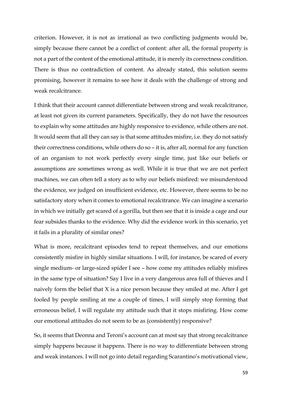criterion. However, it is not as irrational as two conflicting judgments would be, simply because there cannot be a conflict of content: after all, the formal property is not a part of the content of the emotional attitude, it is merely its correctness condition. There is thus no contradiction of content. As already stated, this solution seems promising, however it remains to see how it deals with the challenge of strong and weak recalcitrance.

I think that their account cannot differentiate between strong and weak recalcitrance, at least not given its current parameters. Specifically, they do not have the resources to explain why some attitudes are highly responsive to evidence, while others are not. It would seem that all they can say is that some attitudes misfire, i.e. they do not satisfy their correctness conditions, while others do so – it is, after all, normal for any function of an organism to not work perfectly every single time, just like our beliefs or assumptions are sometimes wrong as well. While it is true that we are not perfect machines, we can often tell a story as to why our beliefs misfired: we misunderstood the evidence, we judged on insufficient evidence, etc. However, there seems to be no satisfactory story when it comes to emotional recalcitrance. We can imagine a scenario in which we initially get scared of a gorilla, but then see that it is inside a cage and our fear subsides thanks to the evidence. Why did the evidence work in this scenario, yet it fails in a plurality of similar ones?

What is more, recalcitrant episodes tend to repeat themselves, and our emotions consistently misfire in highly similar situations. I will, for instance, be scared of every single medium- or large-sized spider I see – how come my attitudes reliably misfires in the same type of situation? Say I live in a very dangerous area full of thieves and I naively form the belief that X is a nice person because they smiled at me. After I get fooled by people smiling at me a couple of times, I will simply stop forming that erroneous belief, I will regulate my attitude such that it stops misfiring. How come our emotional attitudes do not seem to be as (consistently) responsive?

So, it seems that Deonna and Teroni's account can at most say that strong recalcitrance simply happens because it happens. There is no way to differentiate between strong and weak instances. I will not go into detail regarding Scarantino's motivational view,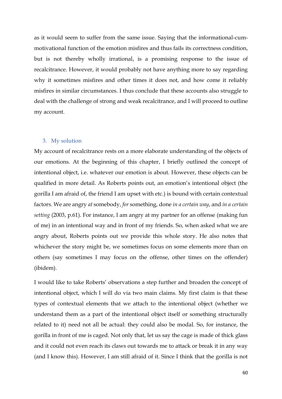as it would seem to suffer from the same issue. Saying that the informational-cummotivational function of the emotion misfires and thus fails its correctness condition, but is not thereby wholly irrational, is a promising response to the issue of recalcitrance. However, it would probably not have anything more to say regarding why it sometimes misfires and other times it does not, and how come it reliably misfires in similar circumstances. I thus conclude that these accounts also struggle to deal with the challenge of strong and weak recalcitrance, and I will proceed to outline my account.

#### 3. My solution

My account of recalcitrance rests on a more elaborate understanding of the objects of our emotions. At the beginning of this chapter, I briefly outlined the concept of intentional object, i.e. whatever our emotion is about. However, these objects can be qualified in more detail. As Roberts points out, an emotion's intentional object (the gorilla I am afraid of, the friend I am upset with etc.) is bound with certain contextual factors. We are angry *at* somebody, *for* something, done *in a certain way*, and *in a certain setting* (2003, p.61). For instance, I am angry at my partner for an offense (making fun of me) in an intentional way and in front of my friends. So, when asked what we are angry about, Roberts points out we provide this whole story. He also notes that whichever the story might be, we sometimes focus on some elements more than on others (say sometimes I may focus on the offense, other times on the offender) (ibidem).

I would like to take Roberts' observations a step further and broaden the concept of intentional object, which I will do via two main claims. My first claim is that these types of contextual elements that we attach to the intentional object (whether we understand them as a part of the intentional object itself or something structurally related to it) need not all be actual: they could also be modal. So, for instance, the gorilla in front of me is caged. Not only that, let us say the cage is made of thick glass and it could not even reach its claws out towards me to attack or break it in any way (and I know this). However, I am still afraid of it. Since I think that the gorilla is not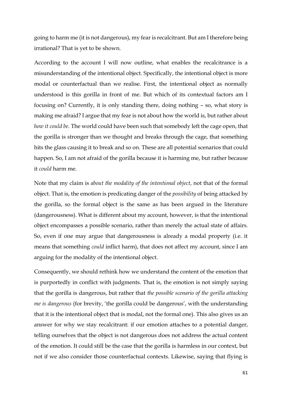going to harm me (it is not dangerous), my fear is recalcitrant. But am I therefore being irrational? That is yet to be shown.

According to the account I will now outline, what enables the recalcitrance is a misunderstanding of the intentional object. Specifically, the intentional object is more modal or counterfactual than we realise. First, the intentional object as normally understood is this gorilla in front of me. But which of its contextual factors am I focusing on? Currently, it is only standing there, doing nothing – so, what story is making me afraid? I argue that my fear is not about how the world is, but rather about *how it could be*. The world could have been such that somebody left the cage open, that the gorilla is stronger than we thought and breaks through the cage, that something hits the glass causing it to break and so on. These are all potential scenarios that could happen. So, I am not afraid of the gorilla because it is harming me, but rather because it *could* harm me.

Note that my claim is *about the modality of the intentional object*, not that of the formal object. That is, the emotion is predicating danger of the *possibility* of being attacked by the gorilla, so the formal object is the same as has been argued in the literature (dangerousness). What is different about my account, however, is that the intentional object encompasses a possible scenario, rather than merely the actual state of affairs. So, even if one may argue that dangerousness is already a modal property (i.e. it means that something *could* inflict harm), that does not affect my account, since I am arguing for the modality of the intentional object.

Consequently, we should rethink how we understand the content of the emotion that is purportedly in conflict with judgments. That is, the emotion is not simply saying that the gorilla is dangerous, but rather that *the possible scenario of the gorilla attacking me is dangerous* (for brevity, 'the gorilla could be dangerous', with the understanding that it is the intentional object that is modal, not the formal one). This also gives us an answer for why we stay recalcitrant: if our emotion attaches to a potential danger, telling ourselves that the object is not dangerous does not address the actual content of the emotion. It could still be the case that the gorilla is harmless in our context, but not if we also consider those counterfactual contexts. Likewise, saying that flying is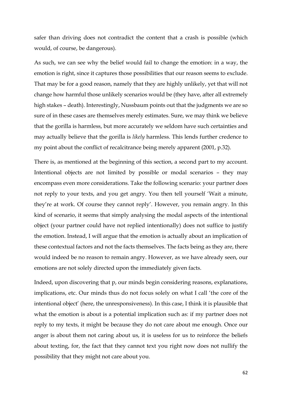safer than driving does not contradict the content that a crash is possible (which would, of course, be dangerous).

As such, we can see why the belief would fail to change the emotion: in a way, the emotion is right, since it captures those possibilities that our reason seems to exclude. That may be for a good reason, namely that they are highly unlikely, yet that will not change how harmful those unlikely scenarios would be (they have, after all extremely high stakes – death). Interestingly, Nussbaum points out that the judgments we are so sure of in these cases are themselves merely estimates. Sure, we may think we believe that the gorilla is harmless, but more accurately we seldom have such certainties and may actually believe that the gorilla is *likely* harmless. This lends further credence to my point about the conflict of recalcitrance being merely apparent (2001, p.32).

There is, as mentioned at the beginning of this section, a second part to my account. Intentional objects are not limited by possible or modal scenarios – they may encompass even more considerations. Take the following scenario: your partner does not reply to your texts, and you get angry. You then tell yourself 'Wait a minute, they're at work. Of course they cannot reply'. However, you remain angry. In this kind of scenario, it seems that simply analysing the modal aspects of the intentional object (your partner could have not replied intentionally) does not suffice to justify the emotion. Instead, I will argue that the emotion is actually about an implication of these contextual factors and not the facts themselves. The facts being as they are, there would indeed be no reason to remain angry. However, as we have already seen, our emotions are not solely directed upon the immediately given facts.

Indeed, upon discovering that p, our minds begin considering reasons, explanations, implications, etc. Our minds thus do not focus solely on what I call 'the core of the intentional object' (here, the unresponsiveness). In this case, I think it is plausible that what the emotion is about is a potential implication such as: if my partner does not reply to my texts, it might be because they do not care about me enough. Once our anger is about them not caring about us, it is useless for us to reinforce the beliefs about texting, for, the fact that they cannot text you right now does not nullify the possibility that they might not care about you.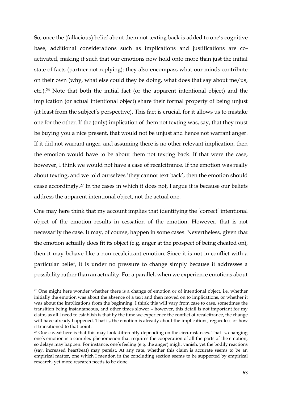So, once the (fallacious) belief about them not texting back is added to one's cognitive base, additional considerations such as implications and justifications are coactivated, making it such that our emotions now hold onto more than just the initial state of facts (partner not replying): they also encompass what our minds contribute on their own (why, what else could they be doing, what does that say about me/us, etc.).<sup>26</sup> Note that both the initial fact (or the apparent intentional object) and the implication (or actual intentional object) share their formal property of being unjust (at least from the subject's perspective). This fact is crucial, for it allows us to mistake one for the other. If the (only) implication of them not texting was, say, that they must be buying you a nice present, that would not be unjust and hence not warrant anger. If it did not warrant anger, and assuming there is no other relevant implication, then the emotion would have to be about them not texting back. If that were the case, however, I think we would not have a case of recalcitrance. If the emotion was really about texting, and we told ourselves 'they cannot text back', then the emotion should cease accordingly.<sup>27</sup> In the cases in which it does not, I argue it is because our beliefs address the apparent intentional object, not the actual one.

One may here think that my account implies that identifying the 'correct' intentional object of the emotion results in cessation of the emotion. However, that is not necessarily the case. It may, of course, happen in some cases. Nevertheless, given that the emotion actually does fit its object (e.g. anger at the prospect of being cheated on), then it may behave like a non-recalcitrant emotion. Since it is not in conflict with a particular belief, it is under no pressure to change simply because it addresses a possibility rather than an actuality. For a parallel, when we experience emotions about

<sup>&</sup>lt;sup>26</sup> One might here wonder whether there is a change of emotion or of intentional object, i.e. whether initially the emotion was about the absence of a text and then moved on to implications, or whether it was about the implications from the beginning. I think this will vary from case to case, sometimes the transition being instantaneous, and other times slower – however, this detail is not important for my claim, as all I need to establish is that by the time we experience the conflict of recalcitrance, the change will have already happened. That is, the emotion is already about the implications, regardless of how it transitioned to that point.

<sup>&</sup>lt;sup>27</sup> One caveat here is that this may look differently depending on the circumstances. That is, changing one's emotion is a complex phenomenon that requires the cooperation of all the parts of the emotion, so delays may happen. For instance, one's feeling (e.g. the anger) might vanish, yet the bodily reactions (say, increased heartbeat) may persist. At any rate, whether this claim is accurate seems to be an empirical matter, one which I mention in the concluding section seems to be supported by empirical research, yet more research needs to be done.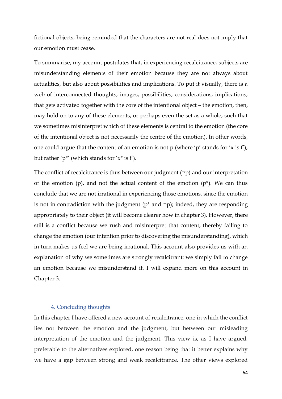fictional objects, being reminded that the characters are not real does not imply that our emotion must cease.

To summarise, my account postulates that, in experiencing recalcitrance, subjects are misunderstanding elements of their emotion because they are not always about actualities, but also about possibilities and implications. To put it visually, there is a web of interconnected thoughts, images, possibilities, considerations, implications, that gets activated together with the core of the intentional object – the emotion, then, may hold on to any of these elements, or perhaps even the set as a whole, such that we sometimes misinterpret which of these elements is central to the emotion (the core of the intentional object is not necessarily the centre of the emotion). In other words, one could argue that the content of an emotion is not p (where 'p' stands for 'x is f'), but rather ' $p^*$ ' (which stands for ' $x^*$  is f').

The conflict of recalcitrance is thus between our judgment  $(\neg p)$  and our interpretation of the emotion  $(p)$ , and not the actual content of the emotion  $(p<sup>*</sup>)$ . We can thus conclude that we are not irrational in experiencing those emotions, since the emotion is not in contradiction with the judgment ( $p^*$  and  $\neg p$ ); indeed, they are responding appropriately to their object (it will become clearer how in chapter 3). However, there still is a conflict because we rush and misinterpret that content, thereby failing to change the emotion (our intention prior to discovering the misunderstanding), which in turn makes us feel we are being irrational. This account also provides us with an explanation of why we sometimes are strongly recalcitrant: we simply fail to change an emotion because we misunderstand it. I will expand more on this account in Chapter 3.

#### 4. Concluding thoughts

In this chapter I have offered a new account of recalcitrance, one in which the conflict lies not between the emotion and the judgment, but between our misleading interpretation of the emotion and the judgment. This view is, as I have argued, preferable to the alternatives explored, one reason being that it better explains why we have a gap between strong and weak recalcitrance. The other views explored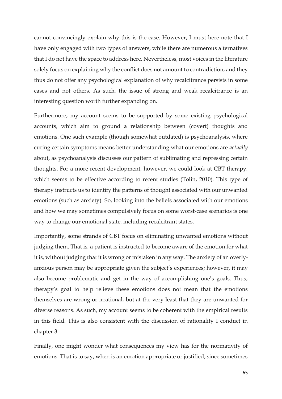cannot convincingly explain why this is the case. However, I must here note that I have only engaged with two types of answers, while there are numerous alternatives that I do not have the space to address here. Nevertheless, most voices in the literature solely focus on explaining why the conflict does not amount to contradiction, and they thus do not offer any psychological explanation of why recalcitrance persists in some cases and not others. As such, the issue of strong and weak recalcitrance is an interesting question worth further expanding on.

Furthermore, my account seems to be supported by some existing psychological accounts, which aim to ground a relationship between (covert) thoughts and emotions. One such example (though somewhat outdated) is psychoanalysis, where curing certain symptoms means better understanding what our emotions are *actually* about, as psychoanalysis discusses our pattern of sublimating and repressing certain thoughts. For a more recent development, however, we could look at CBT therapy, which seems to be effective according to recent studies (Tolin, 2010). This type of therapy instructs us to identify the patterns of thought associated with our unwanted emotions (such as anxiety). So, looking into the beliefs associated with our emotions and how we may sometimes compulsively focus on some worst-case scenarios is one way to change our emotional state, including recalcitrant states.

Importantly, some strands of CBT focus on eliminating unwanted emotions without judging them. That is, a patient is instructed to become aware of the emotion for what it is, without judging that it is wrong or mistaken in any way. The anxiety of an overlyanxious person may be appropriate given the subject's experiences; however, it may also become problematic and get in the way of accomplishing one's goals. Thus, therapy's goal to help relieve these emotions does not mean that the emotions themselves are wrong or irrational, but at the very least that they are unwanted for diverse reasons. As such, my account seems to be coherent with the empirical results in this field. This is also consistent with the discussion of rationality I conduct in chapter 3.

Finally, one might wonder what consequences my view has for the normativity of emotions. That is to say, when is an emotion appropriate or justified, since sometimes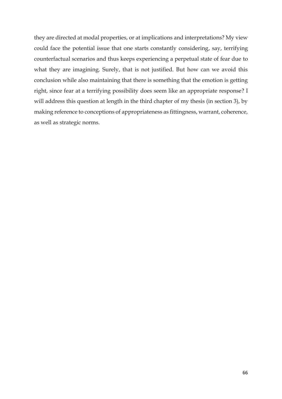they are directed at modal properties, or at implications and interpretations? My view could face the potential issue that one starts constantly considering, say, terrifying counterfactual scenarios and thus keeps experiencing a perpetual state of fear due to what they are imagining. Surely, that is not justified. But how can we avoid this conclusion while also maintaining that there is something that the emotion is getting right, since fear at a terrifying possibility does seem like an appropriate response? I will address this question at length in the third chapter of my thesis (in section 3), by making reference to conceptions of appropriateness as fittingness, warrant, coherence, as well as strategic norms.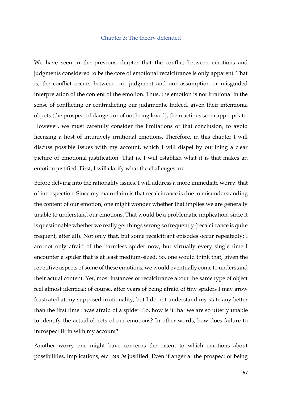# Chapter 3: The theory defended

We have seen in the previous chapter that the conflict between emotions and judgments considered to be the core of emotional recalcitrance is only apparent. That is, the conflict occurs between our judgment and our assumption or misguided interpretation of the content of the emotion. Thus, the emotion is not irrational in the sense of conflicting or contradicting our judgments. Indeed, given their intentional objects (the prospect of danger, or of not being loved), the reactions seem appropriate. However, we must carefully consider the limitations of that conclusion, to avoid licensing a host of intuitively irrational emotions. Therefore, in this chapter I will discuss possible issues with my account, which I will dispel by outlining a clear picture of emotional justification. That is, I will establish what it is that makes an emotion justified. First, I will clarify what the challenges are.

Before delving into the rationality issues, I will address a more immediate worry: that of introspection. Since my main claim is that recalcitrance is due to misunderstanding the content of our emotion, one might wonder whether that implies we are generally unable to understand our emotions. That would be a problematic implication, since it is questionable whether we really get things wrong so frequently (recalcitrance is quite frequent, after all). Not only that, but some recalcitrant episodes occur repeatedly: I am not only afraid of the harmless spider now, but virtually every single time I encounter a spider that is at least medium-sized. So, one would think that, given the repetitive aspects of some of these emotions, we would eventually come to understand their actual content. Yet, most instances of recalcitrance about the same type of object feel almost identical; of course, after years of being afraid of tiny spiders I may grow frustrated at my supposed irrationality, but I do not understand my state any better than the first time I was afraid of a spider. So, how is it that we are so utterly unable to identify the actual objects of our emotions? In other words, how does failure to introspect fit in with my account?

Another worry one might have concerns the extent to which emotions about possibilities, implications, etc. *can be* justified. Even if anger at the prospect of being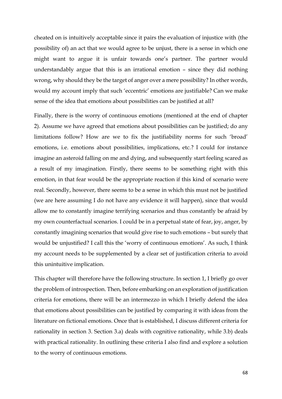cheated on is intuitively acceptable since it pairs the evaluation of injustice with (the possibility of) an act that we would agree to be unjust, there is a sense in which one might want to argue it is unfair towards one's partner. The partner would understandably argue that this is an irrational emotion – since they did nothing wrong, why should they be the target of anger over a mere possibility? In other words, would my account imply that such 'eccentric' emotions are justifiable? Can we make sense of the idea that emotions about possibilities can be justified at all?

Finally, there is the worry of continuous emotions (mentioned at the end of chapter 2). Assume we have agreed that emotions about possibilities can be justified; do any limitations follow? How are we to fix the justifiability norms for such 'broad' emotions, i.e. emotions about possibilities, implications, etc.? I could for instance imagine an asteroid falling on me and dying, and subsequently start feeling scared as a result of my imagination. Firstly, there seems to be something right with this emotion, in that fear would be the appropriate reaction if this kind of scenario were real. Secondly, however, there seems to be a sense in which this must not be justified (we are here assuming I do not have any evidence it will happen), since that would allow me to constantly imagine terrifying scenarios and thus constantly be afraid by my own counterfactual scenarios. I could be in a perpetual state of fear, joy, anger, by constantly imagining scenarios that would give rise to such emotions – but surely that would be unjustified? I call this the 'worry of continuous emotions'. As such, I think my account needs to be supplemented by a clear set of justification criteria to avoid this unintuitive implication.

This chapter will therefore have the following structure. In section 1, I briefly go over the problem of introspection. Then, before embarking on an exploration of justification criteria for emotions, there will be an intermezzo in which I briefly defend the idea that emotions about possibilities can be justified by comparing it with ideas from the literature on fictional emotions. Once that is established, I discuss different criteria for rationality in section 3. Section 3.a) deals with cognitive rationality, while 3.b) deals with practical rationality. In outlining these criteria I also find and explore a solution to the worry of continuous emotions.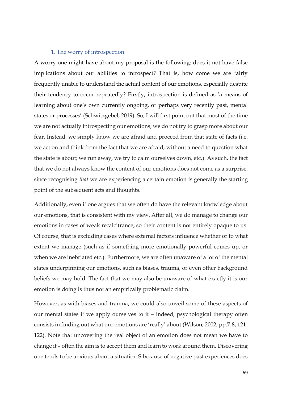## 1. The worry of introspection

A worry one might have about my proposal is the following: does it not have false implications about our abilities to introspect? That is, how come we are fairly frequently unable to understand the actual content of our emotions, especially despite their tendency to occur repeatedly? Firstly, introspection is defined as 'a means of learning about one's own currently ongoing, or perhaps very recently past, mental states or processes' (Schwitzgebel, 2019). So, I will first point out that most of the time we are not actually introspecting our emotions; we do not try to grasp more about our fear. Instead, we simply know we are afraid and proceed from that state of facts (i.e. we act on and think from the fact that we are afraid, without a need to question what the state is about; we run away, we try to calm ourselves down, etc.). As such, the fact that we do not always know the content of our emotions does not come as a surprise, since recognising *that* we are experiencing a certain emotion is generally the starting point of the subsequent acts and thoughts.

Additionally, even if one argues that we often do have the relevant knowledge about our emotions, that is consistent with my view. After all, we do manage to change our emotions in cases of weak recalcitrance, so their content is not entirely opaque to us. Of course, that is excluding cases where external factors influence whether or to what extent we manage (such as if something more emotionally powerful comes up, or when we are inebriated etc.). Furthermore, we are often unaware of a lot of the mental states underpinning our emotions, such as biases, trauma, or even other background beliefs we may hold. The fact that we may also be unaware of what exactly it is our emotion is doing is thus not an empirically problematic claim.

However, as with biases and trauma, we could also unveil some of these aspects of our mental states if we apply ourselves to it – indeed, psychological therapy often consists in finding out what our emotions are 'really' about (Wilson, 2002, pp.7-8, 121- 122). Note that uncovering the real object of an emotion does not mean we have to change it – often the aim is to accept them and learn to work around them. Discovering one tends to be anxious about a situation S because of negative past experiences does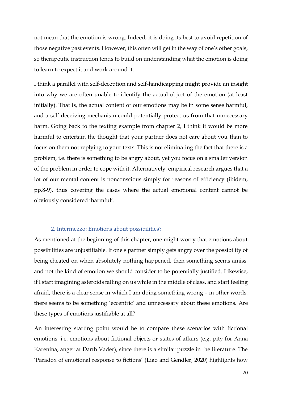not mean that the emotion is wrong. Indeed, it is doing its best to avoid repetition of those negative past events. However, this often will get in the way of one's other goals, so therapeutic instruction tends to build on understanding what the emotion is doing to learn to expect it and work around it.

I think a parallel with self-deception and self-handicapping might provide an insight into why we are often unable to identify the actual object of the emotion (at least initially). That is, the actual content of our emotions may be in some sense harmful, and a self-deceiving mechanism could potentially protect us from that unnecessary harm. Going back to the texting example from chapter 2, I think it would be more harmful to entertain the thought that your partner does not care about you than to focus on them not replying to your texts. This is not eliminating the fact that there is a problem, i.e. there is something to be angry about, yet you focus on a smaller version of the problem in order to cope with it. Alternatively, empirical research argues that a lot of our mental content is nonconscious simply for reasons of efficiency (ibidem, pp.8-9), thus covering the cases where the actual emotional content cannot be obviously considered 'harmful'.

## 2. Intermezzo: Emotions about possibilities?

As mentioned at the beginning of this chapter, one might worry that emotions about possibilities are unjustifiable. If one's partner simply gets angry over the possibility of being cheated on when absolutely nothing happened, then something seems amiss, and not the kind of emotion we should consider to be potentially justified. Likewise, if I start imagining asteroids falling on us while in the middle of class, and start feeling afraid, there is a clear sense in which I am doing something wrong – in other words, there seems to be something 'eccentric' and unnecessary about these emotions. Are these types of emotions justifiable at all?

An interesting starting point would be to compare these scenarios with fictional emotions, i.e. emotions about fictional objects or states of affairs (e.g. pity for Anna Karenina, anger at Darth Vader), since there is a similar puzzle in the literature. The 'Paradox of emotional response to fictions' (Liao and Gendler, 2020) highlights how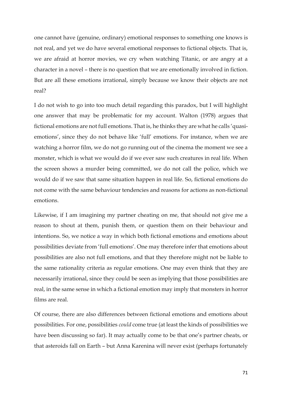one cannot have (genuine, ordinary) emotional responses to something one knows is not real, and yet we do have several emotional responses to fictional objects. That is, we are afraid at horror movies, we cry when watching Titanic, or are angry at a character in a novel – there is no question that we are emotionally involved in fiction. But are all these emotions irrational, simply because we know their objects are not real?

I do not wish to go into too much detail regarding this paradox, but I will highlight one answer that may be problematic for my account. Walton (1978) argues that fictional emotions are not full emotions. That is, he thinks they are what he calls 'quasiemotions', since they do not behave like 'full' emotions. For instance, when we are watching a horror film, we do not go running out of the cinema the moment we see a monster, which is what we would do if we ever saw such creatures in real life. When the screen shows a murder being committed, we do not call the police, which we would do if we saw that same situation happen in real life. So, fictional emotions do not come with the same behaviour tendencies and reasons for actions as non-fictional emotions.

Likewise, if I am imagining my partner cheating on me, that should not give me a reason to shout at them, punish them, or question them on their behaviour and intentions. So, we notice a way in which both fictional emotions and emotions about possibilities deviate from 'full emotions'. One may therefore infer that emotions about possibilities are also not full emotions, and that they therefore might not be liable to the same rationality criteria as regular emotions. One may even think that they are necessarily irrational, since they could be seen as implying that those possibilities are real, in the same sense in which a fictional emotion may imply that monsters in horror films are real.

Of course, there are also differences between fictional emotions and emotions about possibilities. For one, possibilities *could* come true (at least the kinds of possibilities we have been discussing so far). It may actually come to be that one's partner cheats, or that asteroids fall on Earth – but Anna Karenina will never exist (perhaps fortunately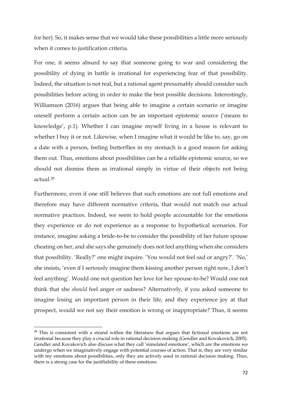for her). So, it makes sense that we would take these possibilities a little more seriously when it comes to justification criteria.

For one, it seems absurd to say that someone going to war and considering the possibility of dying in battle is irrational for experiencing fear of that possibility. Indeed, the situation is not real, but a rational agent presumably should consider such possibilities before acting in order to make the best possible decisions. Interestingly, Williamson (2016) argues that being able to imagine a certain scenario or imagine oneself perform a certain action can be an important epistemic source ('means to knowledge', p.1). Whether I can imagine myself living in a house is relevant to whether I buy it or not. Likewise, when I imagine what it would be like to, say, go on a date with a person, feeling butterflies in my stomach is a good reason for asking them out. Thus, emotions about possibilities can be a reliable epistemic source, so we should not dismiss them as irrational simply in virtue of their objects not being actual.<sup>28</sup>

Furthermore, even if one still believes that such emotions are not full emotions and therefore may have different normative criteria, that would not match our actual normative practices. Indeed, we seem to hold people accountable for the emotions they experience or do not experience as a response to hypothetical scenarios. For instance, imagine asking a bride-to-be to consider the possibility of her future spouse cheating on her, and she says she genuinely does not feel anything when she considers that possibility. 'Really?' one might inquire. 'You would not feel sad or angry?'. 'No,' she insists, 'even if I seriously imagine them kissing another person right now, I don't feel anything'. Would one not question her love for her spouse-to-be? Would one not think that she *should* feel anger or sadness? Alternatively, if you asked someone to imagine losing an important person in their life, and they experience joy at that prospect, would we not say their emotion is wrong or inappropriate? Thus, it seems

 $28$  This is consistent with a strand within the literature that argues that fictional emotions are not irrational because they play a crucial role in rational decision-making (Gendler and Kovakovich, 2005). Gendler and Kovakovich also discuss what they call 'simulated emotions', which are the emotions we undergo when we imaginatively engage with potential courses of action. That is, they are very similar with my emotions about possibilities, only they are actively used in rational decision making. Thus, there is a strong case for the justifiability of these emotions.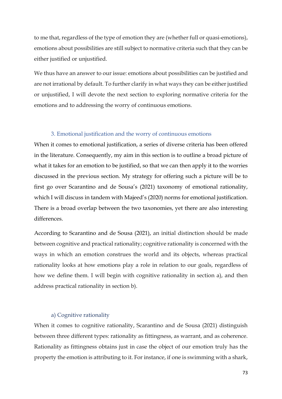to me that, regardless of the type of emotion they are (whether full or quasi-emotions), emotions about possibilities are still subject to normative criteria such that they can be either justified or unjustified.

We thus have an answer to our issue: emotions about possibilities can be justified and are not irrational by default. To further clarify in what ways they can be either justified or unjustified, I will devote the next section to exploring normative criteria for the emotions and to addressing the worry of continuous emotions.

### 3. Emotional justification and the worry of continuous emotions

When it comes to emotional justification, a series of diverse criteria has been offered in the literature. Consequently, my aim in this section is to outline a broad picture of what it takes for an emotion to be justified, so that we can then apply it to the worries discussed in the previous section. My strategy for offering such a picture will be to first go over Scarantino and de Sousa's (2021) taxonomy of emotional rationality, which I will discuss in tandem with Majeed's (2020) norms for emotional justification. There is a broad overlap between the two taxonomies, yet there are also interesting differences.

According to Scarantino and de Sousa (2021), an initial distinction should be made between cognitive and practical rationality; cognitive rationality is concerned with the ways in which an emotion construes the world and its objects, whereas practical rationality looks at how emotions play a role in relation to our goals, regardless of how we define them. I will begin with cognitive rationality in section a), and then address practical rationality in section b).

### a) Cognitive rationality

When it comes to cognitive rationality, Scarantino and de Sousa (2021) distinguish between three different types: rationality as fittingness, as warrant, and as coherence. Rationality as fittingness obtains just in case the object of our emotion truly has the property the emotion is attributing to it. For instance, if one is swimming with a shark,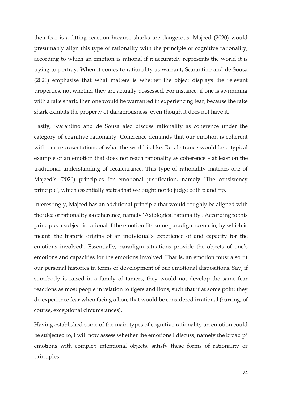then fear is a fitting reaction because sharks are dangerous. Majeed (2020) would presumably align this type of rationality with the principle of cognitive rationality, according to which an emotion is rational if it accurately represents the world it is trying to portray. When it comes to rationality as warrant, Scarantino and de Sousa (2021) emphasise that what matters is whether the object displays the relevant properties, not whether they are actually possessed. For instance, if one is swimming with a fake shark, then one would be warranted in experiencing fear, because the fake shark exhibits the property of dangerousness, even though it does not have it.

Lastly, Scarantino and de Sousa also discuss rationality as coherence under the category of cognitive rationality. Coherence demands that our emotion is coherent with our representations of what the world is like. Recalcitrance would be a typical example of an emotion that does not reach rationality as coherence – at least on the traditional understanding of recalcitrance. This type of rationality matches one of Majeed's (2020) principles for emotional justification, namely 'The consistency principle', which essentially states that we ought not to judge both p and ¬p.

Interestingly, Majeed has an additional principle that would roughly be aligned with the idea of rationality as coherence, namely 'Axiological rationality'. According to this principle, a subject is rational if the emotion fits some paradigm scenario, by which is meant 'the historic origins of an individual's experience of and capacity for the emotions involved'. Essentially, paradigm situations provide the objects of one's emotions and capacities for the emotions involved. That is, an emotion must also fit our personal histories in terms of development of our emotional dispositions. Say, if somebody is raised in a family of tamers, they would not develop the same fear reactions as most people in relation to tigers and lions, such that if at some point they do experience fear when facing a lion, that would be considered irrational (barring, of course, exceptional circumstances).

Having established some of the main types of cognitive rationality an emotion could be subjected to, I will now assess whether the emotions I discuss, namely the broad p\* emotions with complex intentional objects, satisfy these forms of rationality or principles.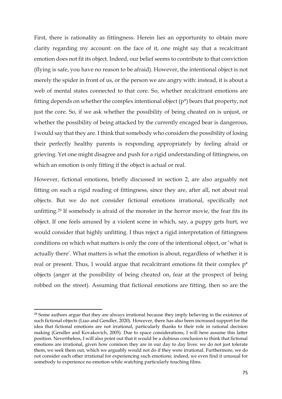First, there is rationality as fittingness. Herein lies an opportunity to obtain more clarity regarding my account: on the face of it, one might say that a recalcitrant emotion does not fit its object. Indeed, our belief seems to contribute to that conviction (flying is safe, you have no reason to be afraid). However, the intentional object is not merely the spider in front of us, or the person we are angry with: instead, it is about a web of mental states connected to that core. So, whether recalcitrant emotions are fitting depends on whether the complex intentional object (p\*) bears that property, not just the core. So, if we ask whether the possibility of being cheated on is unjust, or whether the possibility of being attacked by the currently encaged bear is dangerous, I would say that they are. I think that somebody who considers the possibility of losing their perfectly healthy parents is responding appropriately by feeling afraid or grieving. Yet one might disagree and push for a rigid understanding of fittingness, on which an emotion is only fitting if the object is actual or real.

However, fictional emotions, briefly discussed in section 2, are also arguably not fitting on such a rigid reading of fittingness, since they are, after all, not about real objects. But we do not consider fictional emotions irrational, specifically not unfitting.<sup>29</sup> If somebody is afraid of the monster in the horror movie, the fear fits its object. If one feels amused by a violent scene in which, say, a puppy gets hurt, we would consider that highly unfitting. I thus reject a rigid interpretation of fittingness conditions on which what matters is only the core of the intentional object, or 'what is actually there'. What matters is what the emotion is about, regardless of whether it is real or present. Thus, I would argue that recalcitrant emotions fit their complex p\* objects (anger at the possibility of being cheated on, fear at the prospect of being robbed on the street). Assuming that fictional emotions are fitting, then so are the

<sup>&</sup>lt;sup>29</sup> Some authors argue that they are always irrational because they imply believing in the existence of such fictional objects (Liao and Gendler, 2020). However, there has also been increased support for the idea that fictional emotions are not irrational, particularly thanks to their role in rational decision making (Gendler and Kovakovich, 2005). Due to space considerations, I will here assume this latter position. Nevertheless, I will also point out that it would be a dubious conclusion to think that fictional emotions are irrational, given how common they are in our day to day lives: we do not just tolerate them, we seek them out, which we arguably would not do if they were irrational. Furthermore, we do not consider each other irrational for experiencing such emotions; indeed, we even find it unusual for somebody to experience no emotion while watching particularly touching films.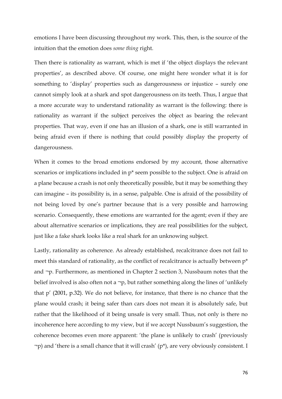emotions I have been discussing throughout my work. This, then, is the source of the intuition that the emotion does *some thing* right.

Then there is rationality as warrant, which is met if 'the object displays the relevant properties', as described above. Of course, one might here wonder what it is for something to 'display' properties such as dangerousness or injustice – surely one cannot simply look at a shark and spot dangerousness on its teeth. Thus, I argue that a more accurate way to understand rationality as warrant is the following: there is rationality as warrant if the subject perceives the object as bearing the relevant properties. That way, even if one has an illusion of a shark, one is still warranted in being afraid even if there is nothing that could possibly display the property of dangerousness.

When it comes to the broad emotions endorsed by my account, those alternative scenarios or implications included in p\* seem possible to the subject. One is afraid on a plane because a crash is not only theoretically possible, but it may be something they can imagine – its possibility is, in a sense, palpable. One is afraid of the possibility of not being loved by one's partner because that is a very possible and harrowing scenario. Consequently, these emotions are warranted for the agent; even if they are about alternative scenarios or implications, they are real possibilities for the subject, just like a fake shark looks like a real shark for an unknowing subject.

Lastly, rationality as coherence. As already established, recalcitrance does not fail to meet this standard of rationality, as the conflict of recalcitrance is actually between p\* and ¬p. Furthermore, as mentioned in Chapter 2 section 3, Nussbaum notes that the belief involved is also often not a  $\neg p$ , but rather something along the lines of 'unlikely that p' (2001, p.32). We do not believe, for instance, that there is no chance that the plane would crash; it being safer than cars does not mean it is absolutely safe, but rather that the likelihood of it being unsafe is very small. Thus, not only is there no incoherence here according to my view, but if we accept Nussbaum's suggestion, the coherence becomes even more apparent: 'the plane is unlikely to crash' (previously ¬p) and 'there is a small chance that it will crash' (p\*), are very obviously consistent. I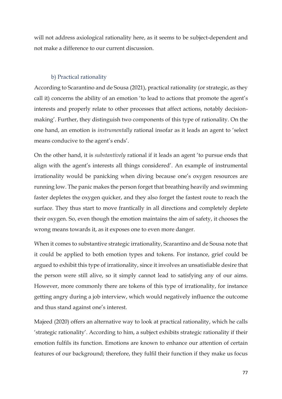will not address axiological rationality here, as it seems to be subject-dependent and not make a difference to our current discussion.

## b) Practical rationality

According to Scarantino and de Sousa (2021), practical rationality (or strategic, as they call it) concerns the ability of an emotion 'to lead to actions that promote the agent's interests and properly relate to other processes that affect actions, notably decisionmaking'. Further, they distinguish two components of this type of rationality. On the one hand, an emotion is *instrumentally* rational insofar as it leads an agent to 'select means conducive to the agent's ends'.

On the other hand, it is *substantively* rational if it leads an agent 'to pursue ends that align with the agent's interests all things considered'. An example of instrumental irrationality would be panicking when diving because one's oxygen resources are running low. The panic makes the person forget that breathing heavily and swimming faster depletes the oxygen quicker, and they also forget the fastest route to reach the surface. They thus start to move frantically in all directions and completely deplete their oxygen. So, even though the emotion maintains the aim of safety, it chooses the wrong means towards it, as it exposes one to even more danger.

When it comes to substantive strategic irrationality, Scarantino and de Sousa note that it could be applied to both emotion types and tokens. For instance, grief could be argued to exhibit this type of irrationality, since it involves an unsatisfiable desire that the person were still alive, so it simply cannot lead to satisfying any of our aims. However, more commonly there are tokens of this type of irrationality, for instance getting angry during a job interview, which would negatively influence the outcome and thus stand against one's interest.

Majeed (2020) offers an alternative way to look at practical rationality, which he calls 'strategic rationality'. According to him, a subject exhibits strategic rationality if their emotion fulfils its function. Emotions are known to enhance our attention of certain features of our background; therefore, they fulfil their function if they make us focus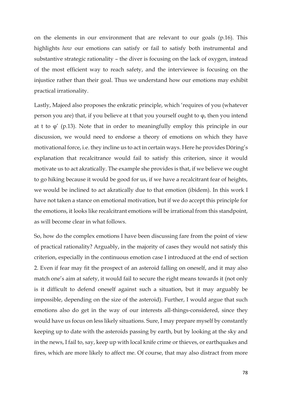on the elements in our environment that are relevant to our goals (p.16). This highlights *how* our emotions can satisfy or fail to satisfy both instrumental and substantive strategic rationality – the diver is focusing on the lack of oxygen, instead of the most efficient way to reach safety, and the interviewee is focusing on the injustice rather than their goal. Thus we understand how our emotions may exhibit practical irrationality.

Lastly, Majeed also proposes the enkratic principle, which 'requires of you (whatever person you are) that, if you believe at t that you yourself ought to φ, then you intend at t to  $\varphi'$  (p.13). Note that in order to meaningfully employ this principle in our discussion, we would need to endorse a theory of emotions on which they have motivational force, i.e. they incline us to act in certain ways. Here he provides Döring's explanation that recalcitrance would fail to satisfy this criterion, since it would motivate us to act akratically. The example she provides is that, if we believe we ought to go hiking because it would be good for us, if we have a recalcitrant fear of heights, we would be inclined to act akratically due to that emotion (ibidem). In this work I have not taken a stance on emotional motivation, but if we do accept this principle for the emotions, it looks like recalcitrant emotions will be irrational from this standpoint, as will become clear in what follows.

So, how do the complex emotions I have been discussing fare from the point of view of practical rationality? Arguably, in the majority of cases they would not satisfy this criterion, especially in the continuous emotion case I introduced at the end of section 2. Even if fear may fit the prospect of an asteroid falling on oneself, and it may also match one's aim at safety, it would fail to secure the right means towards it (not only is it difficult to defend oneself against such a situation, but it may arguably be impossible, depending on the size of the asteroid). Further, I would argue that such emotions also do get in the way of our interests all-things-considered, since they would have us focus on less likely situations. Sure, I may prepare myself by constantly keeping up to date with the asteroids passing by earth, but by looking at the sky and in the news, I fail to, say, keep up with local knife crime or thieves, or earthquakes and fires, which are more likely to affect me. Of course, that may also distract from more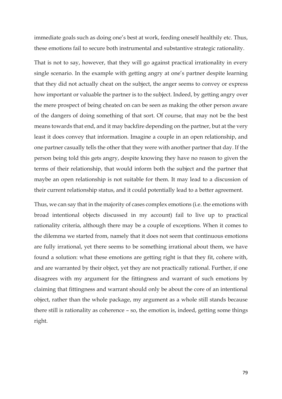immediate goals such as doing one's best at work, feeding oneself healthily etc. Thus, these emotions fail to secure both instrumental and substantive strategic rationality.

That is not to say, however, that they will go against practical irrationality in every single scenario. In the example with getting angry at one's partner despite learning that they did not actually cheat on the subject, the anger seems to convey or express how important or valuable the partner is to the subject. Indeed, by getting angry over the mere prospect of being cheated on can be seen as making the other person aware of the dangers of doing something of that sort. Of course, that may not be the best means towards that end, and it may backfire depending on the partner, but at the very least it does convey that information. Imagine a couple in an open relationship, and one partner casually tells the other that they were with another partner that day. If the person being told this gets angry, despite knowing they have no reason to given the terms of their relationship, that would inform both the subject and the partner that maybe an open relationship is not suitable for them. It may lead to a discussion of their current relationship status, and it could potentially lead to a better agreement.

Thus, we can say that in the majority of cases complex emotions (i.e. the emotions with broad intentional objects discussed in my account) fail to live up to practical rationality criteria, although there may be a couple of exceptions. When it comes to the dilemma we started from, namely that it does not seem that continuous emotions are fully irrational, yet there seems to be something irrational about them, we have found a solution: what these emotions are getting right is that they fit, cohere with, and are warranted by their object, yet they are not practically rational. Further, if one disagrees with my argument for the fittingness and warrant of such emotions by claiming that fittingness and warrant should only be about the core of an intentional object, rather than the whole package, my argument as a whole still stands because there still is rationality as coherence – so, the emotion is, indeed, getting some things right.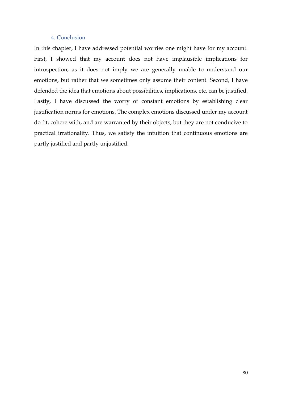# 4. Conclusion

In this chapter, I have addressed potential worries one might have for my account. First, I showed that my account does not have implausible implications for introspection, as it does not imply we are generally unable to understand our emotions, but rather that we sometimes only assume their content. Second, I have defended the idea that emotions about possibilities, implications, etc. can be justified. Lastly, I have discussed the worry of constant emotions by establishing clear justification norms for emotions. The complex emotions discussed under my account do fit, cohere with, and are warranted by their objects, but they are not conducive to practical irrationality. Thus, we satisfy the intuition that continuous emotions are partly justified and partly unjustified.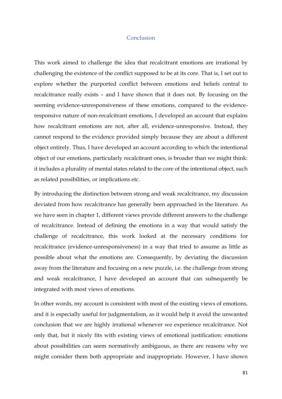#### Conclusion

This work aimed to challenge the idea that recalcitrant emotions are irrational by challenging the existence of the conflict supposed to be at its core. That is, I set out to explore whether the purported conflict between emotions and beliefs central to recalcitrance really exists – and I have shown that it does not. By focusing on the seeming evidence-unresponsiveness of these emotions, compared to the evidenceresponsive nature of non-recalcitrant emotions, I developed an account that explains how recalcitrant emotions are not, after all, evidence-unresponsive. Instead, they cannot respond to the evidence provided simply because they are about a different object entirely. Thus, I have developed an account according to which the intentional object of our emotions, particularly recalcitrant ones, is broader than we might think: it includes a plurality of mental states related to the core of the intentional object, such as related possibilities, or implications etc.

By introducing the distinction between strong and weak recalcitrance, my discussion deviated from how recalcitrance has generally been approached in the literature. As we have seen in chapter 1, different views provide different answers to the challenge of recalcitrance. Instead of defining the emotions in a way that would satisfy the challenge of recalcitrance, this work looked at the necessary conditions for recalcitrance (evidence-unresponsiveness) in a way that tried to assume as little as possible about what the emotions are. Consequently, by deviating the discussion away from the literature and focusing on a new puzzle, i.e. the challenge from strong and weak recalcitrance, I have developed an account that can subsequently be integrated with most views of emotions.

In other words, my account is consistent with most of the existing views of emotions, and it is especially useful for judgmentalism, as it would help it avoid the unwanted conclusion that we are highly irrational whenever we experience recalcitrance. Not only that, but it nicely fits with existing views of emotional justification: emotions about possibilities can seem normatively ambiguous, as there are reasons why we might consider them both appropriate and inappropriate. However, I have shown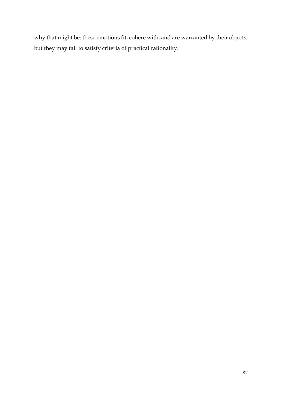why that might be: these emotions fit, cohere with, and are warranted by their objects, but they may fail to satisfy criteria of practical rationality.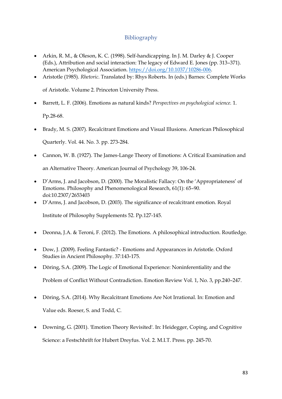# Bibliography

- Arkin, R. M., & Oleson, K. C. (1998). Self-handicapping. In J. M. Darley & J. Cooper (Eds.), Attribution and social interaction: The legacy of Edward E. Jones (pp. 313–371). American Psychological Association. [https://doi.org/10.1037/10286-006.](https://doi.org/10.1037/10286-006)
- Aristotle (1985). *Rhetoric*. Translated by: Rhys Roberts. In (eds.) Barnes: Complete Works

of Aristotle. Volume 2. Princeton University Press.

• Barrett, L. F. (2006). Emotions as natural kinds? *Perspectives on psychological science.* 1.

Pp.28-68.

• Brady, M. S. (2007). Recalcitrant Emotions and Visual Illusions. American Philosophical

Quarterly. Vol. 44. No. 3. pp. 273-284.

- Cannon, W. B. (1927). The James-Lange Theory of Emotions: A Critical Examination and an Alternative Theory. American Journal of Psychology 39, 106-24.
- D'Arms, J. and Jacobson, D. (2000). The Moralistic Fallacy: On the 'Appropriateness' of Emotions. Philosophy and Phenomenological Research, 61(1): 65–90. doi:10.2307/2653403
- D'Arms, J. and Jacobson, D. (2003). The significance of recalcitrant emotion. Royal Institute of Philosophy Supplements 52. Pp.127-145.
- Deonna, J.A. & Teroni, F. (2012). The Emotions. A philosophical introduction. Routledge.
- Dow, J. (2009). Feeling Fantastic? Emotions and Appearances in Aristotle. Oxford Studies in Ancient Philosophy. 37:143-175.
- Döring, S.A. (2009). The Logic of Emotional Experience: Noninferentiality and the Problem of Conflict Without Contradiction. Emotion Review Vol. 1, No. 3, pp.240–247.
- Döring, S.A. (2014). Why Recalcitrant Emotions Are Not Irrational. In: Emotion and Value eds. Roeser, S. and Todd, C.
- Downing, G. (2001). 'Emotion Theory Revisited'. In: Heidegger, Coping, and Cognitive Science: a Festschhrift for Hubert Dreyfus. Vol. 2. M.I.T. Press. pp. 245-70.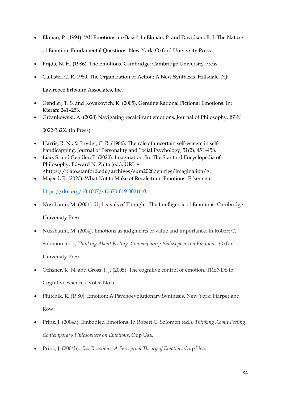- Ekman, P. (1994). 'All Emotions are Basic'. In Ekman, P. and Davidson, R. J. The Nature of Emotion: Fundamental Questions. New York: Oxford University Press.
- Frijda, N. H. (1986). The Emotions. Cambridge: Cambridge University Press.
- Gallistel, C. R. 1980. The Organization of Action: A New Synthesis. Hillsdale, NJ:

Lawrence Erlbaum Associates, Inc.

- Gendler, T. S. and Kovakovich, K. (2005). Genuine Rational Fictional Emotions. In: Kieran: 241–253.
- Grzankowski, A. (2020) Navigating recalcitrant emotions. Journal of Philosophy. ISSN

0022-362X. (In Press).

- Harris, R. N., & Snyder, C. R. (1986). The role of uncertain self-esteem in selfhandicapping. Journal of Personality and Social Psychology, 51(2), 451–458.
- Liao, S. and Gendler, T. (2020). Imagination. In: The Stanford Encyclopedia of Philosophy. Edward N. Zalta (ed.), URL = <https://plato.stanford.edu/archives/sum2020/entries/imagination/>.
- Majeed, R. (2020). What Not to Make of Recalcitrant Emotions. Erkennen.

[https://doi.org/10.1007/s10670-019-00216-0.](https://doi.org/10.1007/s10670-019-00216-0)

- Nussbaum, M. (2001). Upheavals of Thought: The Intelligence of Emotions. Cambridge University Press.
- Nussbaum, M. (2004). Emotions as judgments of value and importance. In Robert C. Solomon (ed.), *Thinking About Feeling: Contemporary Philosophers on Emotions*. Oxford University Press.
- Ochsner, K. N. and Gross, J. J. (2005). The cognitive control of emotion. TRENDS in Cognitive Sciences. Vol.9. No.5.
- Plutchik, R. (1980). Emotion: A Psychoevolutionary Synthesis. New York: Harper and Row.
- Prinz, J. (2004a). Embodied Emotions. In Robert C. Solomon (ed.), *Thinking About Feeling: Contemporary Philosophers on Emotions*. Oup Usa.
- Prinz, J. (2004b). *Gut Reactions: A Perceptual Theory of Emotion*. Oup Usa.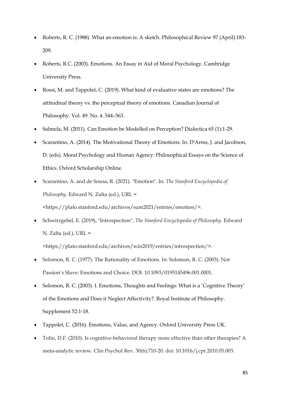- Roberts, R. C. (1988). What an emotion is: A sketch. Philosophical Review 97 (April):183- 209.
- Roberts, R.C. (2003). Emotions. An Essay in Aid of Moral Psychology. Cambridge University Press.
- Rossi, M. and Tappolet, C. (2019). What kind of evaluative states are emotions? The attitudinal theory vs. the perceptual theory of emotions. Canadian Journal of Philosophy. Vol. 49. No. 4. 544–563.
- Salmela, M. (2011). Can Emotion be Modelled on Perception? Dialectica 65 (1):1-29.
- Scarantino, A. (2014). The Motivational Theory of Emotions. In: D'Arms, J. and Jacobson, D. (eds). Moral Psychology and Human Agency: Philosophical Essays on the Science of Ethics. Oxford Scholarship Online.
- Scarantino, A. and de Sousa, R. (2021). "Emotion". In: *The Stanford Encyclopedia of Philosophy.* Edward N. Zalta (ed.), URL = <https://plato.stanford.edu/archives/sum2021/entries/emotion/>.
- Schwitzgebel, E. (2019), "Introspection", *The Stanford Encyclopedia of Philosophy.* Edward N. Zalta (ed.), URL =

<https://plato.stanford.edu/archives/win2019/entries/introspection/>.

- Solomon, R. C. (1977). The Rationality of Emotions. In: Solomon, R. C. (2003). Not Passion's Slave: Emotions and Choice. DOI: 10.1093/0195145496.001.0001.
- Solomon, R. C. (2003). I. Emotions, Thoughts and Feelings: What is a 'Cognitive Theory' of the Emotions and Does it Neglect Affectivity?. Royal Institute of Philosophy. Supplement 52:1-18.
- Tappolet, C. (2016). Emotions, Value, and Agency. Oxford University Press UK.
- Tolin, D.F. (2010). Is cognitive-behavioral therapy more effective than other therapies? A meta-analytic review. Clin Psychol Rev. 30(6):710-20. doi: 10.1016/j.cpr.2010.05.003.